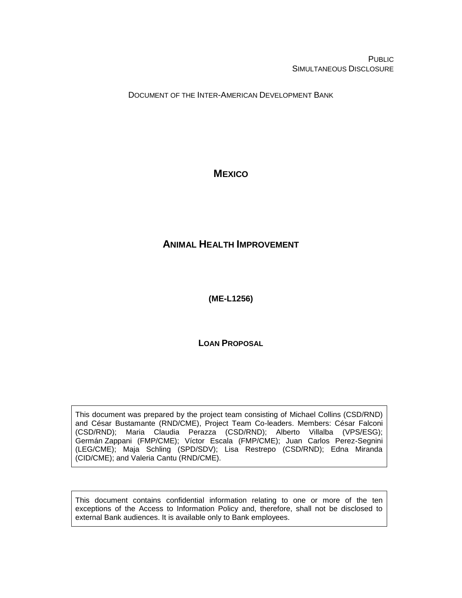**PUBLIC** SIMULTANEOUS DISCLOSURE

DOCUMENT OF THE INTER-AMERICAN DEVELOPMENT BANK

# **MEXICO**

# <span id="page-0-0"></span>**ANIMAL HEALTH IMPROVEMENT**

<span id="page-0-1"></span>**(ME-L1256)**

**LOAN PROPOSAL**

This document was prepared by the project team consisting of Michael Collins (CSD/RND) and César Bustamante (RND/CME), Project Team Co-leaders. Members: César Falconi (CSD/RND); Maria Claudia Perazza (CSD/RND); Alberto Villalba (VPS/ESG); Germán Zappani (FMP/CME); Víctor Escala (FMP/CME); Juan Carlos Perez-Segnini (LEG/CME); Maja Schling (SPD/SDV); Lisa Restrepo (CSD/RND); Edna Miranda (CID/CME); and Valeria Cantu (RND/CME).

This document contains confidential information relating to one or more of the ten exceptions of the Access to Information Policy and, therefore, shall not be disclosed to external Bank audiences. It is available only to Bank employees.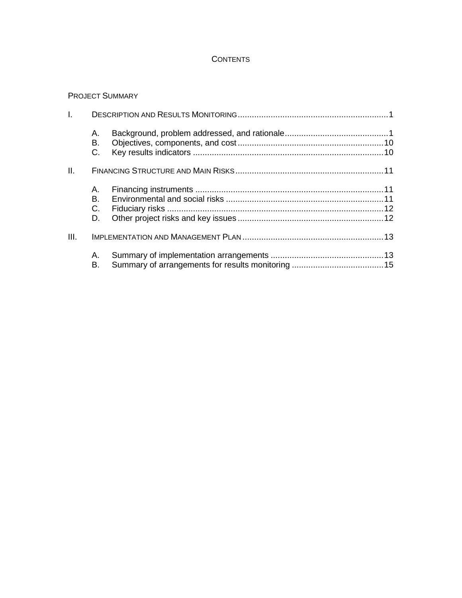## **CONTENTS**

# PROJECT SUMMARY

| Ī.   |                      |  |  |  |  |  |  |  |
|------|----------------------|--|--|--|--|--|--|--|
|      | А.<br>В.<br>C.       |  |  |  |  |  |  |  |
| II.  |                      |  |  |  |  |  |  |  |
|      | А.<br>В.<br>C.<br>D. |  |  |  |  |  |  |  |
| III. |                      |  |  |  |  |  |  |  |
|      | Α.<br>В.             |  |  |  |  |  |  |  |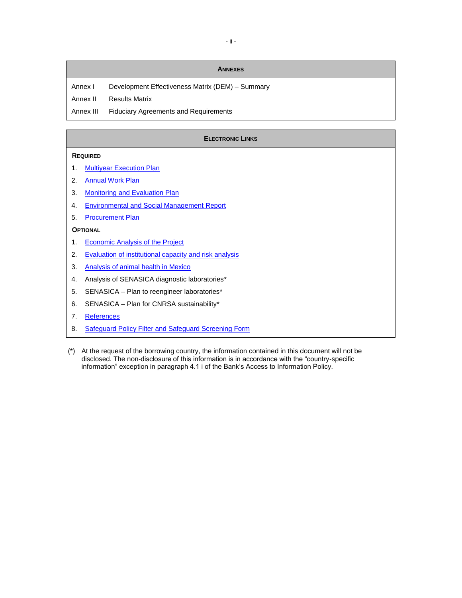#### **ANNEXES**

Annex I Development Effectiveness Matrix (DEM) - Summary

Annex II Results Matrix

Annex III Fiduciary Agreements and Requirements

#### **ELECTRONIC LINKS**

#### **REQUIRED**

- 1. [Multiyear Execution Plan](http://idbdocs.iadb.org/wsdocs/getDocument.aspx?DOCNUM=40677245)
- 2. [Annual Work Plan](http://idbdocs.iadb.org/wsdocs/getDocument.aspx?DOCNUM=40677255)
- 3. [Monitoring and Evaluation Plan](http://idbdocs.iadb.org/wsdocs/getDocument.aspx?DOCNUM=40677263)
- 4. [Environmental and Social Management Report](http://idbdocs.iadb.org/wsdocs/getDocument.aspx?DOCNUM=40677335)
- 5. [Procurement Plan](http://idbdocs.iadb.org/wsdocs/getDocument.aspx?DOCNUM=40677272)

### **OPTIONAL**

- 1. **[Economic Analysis of the Project](http://idbdocs.iadb.org/wsdocs/getDocument.aspx?DOCNUM=40677882)**
- 2. [Evaluation of institutional capacity and risk analysis](http://idbdocs.iadb.org/wsdocs/getDocument.aspx?DOCNUM=40677887)
- 3. [Analysis of animal health in Mexico](http://idbdocs.iadb.org/wsdocs/getDocument.aspx?DOCNUM=40677904)
- 4. Analysis of SENASICA diagnostic laboratories\*
- 5. SENASICA Plan to reengineer laboratories\*
- 6. SENASICA Plan for CNRSA sustainability\*
- 7. [References](http://idbdocs.iadb.org/wsdocs/getDocument.aspx?DOCNUM=40680787)
- 8. [Safeguard Policy Filter and Safeguard Screening Form](http://idbdocs.iadb.org/wsdocs/getDocument.aspx?DOCNUM=40677297)
- (\*) At the request of the borrowing country, the information contained in this document will not be disclosed. The non-disclosure of this information is in accordance with the "country-specific information" exception in paragraph 4.1 i of the Bank's Access to Information Policy.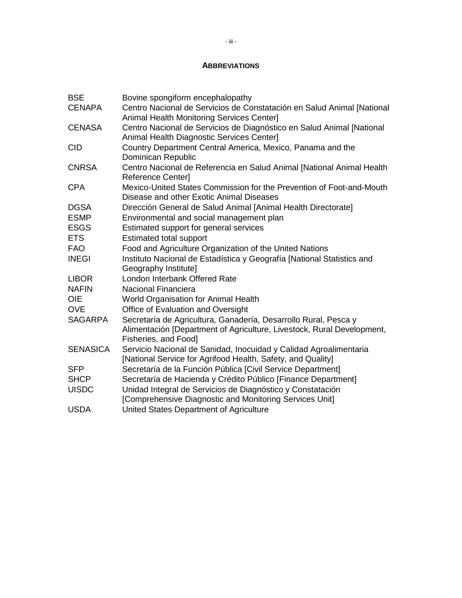### **ABBREVIATIONS**

| <b>BSE</b>      | Bovine spongiform encephalopathy                                                                                                                                  |
|-----------------|-------------------------------------------------------------------------------------------------------------------------------------------------------------------|
| <b>CENAPA</b>   | Centro Nacional de Servicios de Constatación en Salud Animal [National<br>Animal Health Monitoring Services Center]                                               |
| <b>CENASA</b>   | Centro Nacional de Servicios de Diagnóstico en Salud Animal [National<br>Animal Health Diagnostic Services Center]                                                |
| <b>CID</b>      | Country Department Central America, Mexico, Panama and the<br>Dominican Republic                                                                                  |
| <b>CNRSA</b>    | Centro Nacional de Referencia en Salud Animal [National Animal Health<br>Reference Center]                                                                        |
| <b>CPA</b>      | Mexico-United States Commission for the Prevention of Foot-and-Mouth<br>Disease and other Exotic Animal Diseases                                                  |
| <b>DGSA</b>     | Dirección General de Salud Animal [Animal Health Directorate]                                                                                                     |
| <b>ESMP</b>     | Environmental and social management plan                                                                                                                          |
| <b>ESGS</b>     | Estimated support for general services                                                                                                                            |
| <b>ETS</b>      | <b>Estimated total support</b>                                                                                                                                    |
| <b>FAO</b>      | Food and Agriculture Organization of the United Nations                                                                                                           |
| <b>INEGI</b>    | Instituto Nacional de Estadística y Geografía [National Statistics and<br>Geography Institute]                                                                    |
| <b>LIBOR</b>    | London Interbank Offered Rate                                                                                                                                     |
| <b>NAFIN</b>    | <b>Nacional Financiera</b>                                                                                                                                        |
| <b>OIE</b>      | World Organisation for Animal Health                                                                                                                              |
| <b>OVE</b>      | Office of Evaluation and Oversight                                                                                                                                |
| <b>SAGARPA</b>  | Secretaría de Agricultura, Ganadería, Desarrollo Rural, Pesca y<br>Alimentación [Department of Agriculture, Livestock, Rural Development,<br>Fisheries, and Food] |
| <b>SENASICA</b> | Servicio Nacional de Sanidad, Inocuidad y Calidad Agroalimentaria<br>[National Service for Agrifood Health, Safety, and Quality]                                  |
| <b>SFP</b>      | Secretaría de la Función Pública [Civil Service Department]                                                                                                       |
| <b>SHCP</b>     | Secretaría de Hacienda y Crédito Público [Finance Department]                                                                                                     |
| <b>UISDC</b>    | Unidad Integral de Servicios de Diagnóstico y Constatación<br>[Comprehensive Diagnostic and Monitoring Services Unit]                                             |
| <b>USDA</b>     | United States Department of Agriculture                                                                                                                           |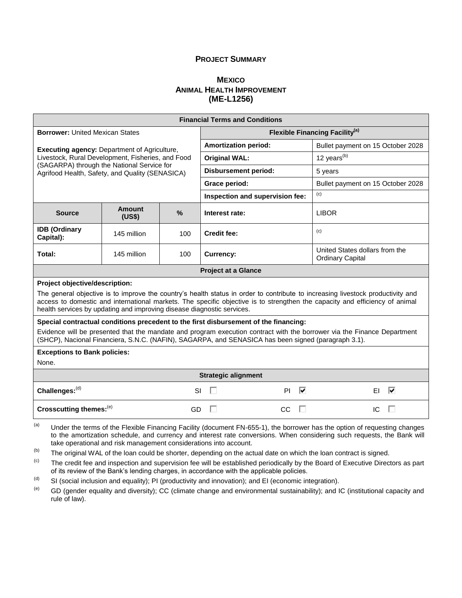### **PROJECT SUMMARY**

### **MEXICO A[NIMAL](#page-0-0) HEALTH IMPROVEMENT [\(ME-L1256\)](#page-0-1)**

| <b>Financial Terms and Conditions</b>                                                                                                                                                                                                                                                                                                                                      |                                                                                      |      |                                                   |                                                           |  |  |  |
|----------------------------------------------------------------------------------------------------------------------------------------------------------------------------------------------------------------------------------------------------------------------------------------------------------------------------------------------------------------------------|--------------------------------------------------------------------------------------|------|---------------------------------------------------|-----------------------------------------------------------|--|--|--|
| <b>Borrower: United Mexican States</b>                                                                                                                                                                                                                                                                                                                                     |                                                                                      |      | <b>Flexible Financing Facility</b> <sup>(a)</sup> |                                                           |  |  |  |
| <b>Executing agency: Department of Agriculture,</b>                                                                                                                                                                                                                                                                                                                        |                                                                                      |      | <b>Amortization period:</b>                       | Bullet payment on 15 October 2028                         |  |  |  |
| Livestock, Rural Development, Fisheries, and Food                                                                                                                                                                                                                                                                                                                          |                                                                                      |      | <b>Original WAL:</b>                              | 12 years <sup>(b)</sup>                                   |  |  |  |
| (SAGARPA) through the National Service for<br>Agrifood Health, Safety, and Quality (SENASICA)                                                                                                                                                                                                                                                                              |                                                                                      |      | <b>Disbursement period:</b>                       | 5 years                                                   |  |  |  |
|                                                                                                                                                                                                                                                                                                                                                                            |                                                                                      |      | Grace period:                                     | Bullet payment on 15 October 2028                         |  |  |  |
|                                                                                                                                                                                                                                                                                                                                                                            |                                                                                      |      | Inspection and supervision fee:                   | (c)                                                       |  |  |  |
| <b>Source</b>                                                                                                                                                                                                                                                                                                                                                              | <b>Amount</b><br>(US\$)                                                              | $\%$ | Interest rate:                                    | <b>LIBOR</b>                                              |  |  |  |
| <b>IDB</b> (Ordinary<br>Capital):                                                                                                                                                                                                                                                                                                                                          | 145 million                                                                          | 100  | <b>Credit fee:</b>                                | (c)                                                       |  |  |  |
| Total:                                                                                                                                                                                                                                                                                                                                                                     | 145 million                                                                          | 100  | <b>Currency:</b>                                  | United States dollars from the<br><b>Ordinary Capital</b> |  |  |  |
|                                                                                                                                                                                                                                                                                                                                                                            |                                                                                      |      | <b>Project at a Glance</b>                        |                                                           |  |  |  |
| Project objective/description:<br>The general objective is to improve the country's health status in order to contribute to increasing livestock productivity and<br>access to domestic and international markets. The specific objective is to strengthen the capacity and efficiency of animal<br>health services by updating and improving disease diagnostic services. |                                                                                      |      |                                                   |                                                           |  |  |  |
|                                                                                                                                                                                                                                                                                                                                                                            | Special contractual conditions precedent to the first disbursement of the financing: |      |                                                   |                                                           |  |  |  |
| Evidence will be presented that the mandate and program execution contract with the borrower via the Finance Department<br>(SHCP), Nacional Financiera, S.N.C. (NAFIN), SAGARPA, and SENASICA has been signed (paragraph 3.1).                                                                                                                                             |                                                                                      |      |                                                   |                                                           |  |  |  |
| <b>Exceptions to Bank policies:</b><br>None.                                                                                                                                                                                                                                                                                                                               |                                                                                      |      |                                                   |                                                           |  |  |  |
|                                                                                                                                                                                                                                                                                                                                                                            |                                                                                      |      | <b>Strategic alignment</b>                        |                                                           |  |  |  |
| Challenges:(d)<br><b>SI</b>                                                                                                                                                                                                                                                                                                                                                |                                                                                      |      | ⊽<br>D<br>PI.                                     | ⊽<br>EL                                                   |  |  |  |
| Crosscutting themes: <sup>(e)</sup>                                                                                                                                                                                                                                                                                                                                        |                                                                                      | GD   | П<br>CC                                           | IC<br>п<br>п                                              |  |  |  |
| (a)<br>Under the terms of the Flexible Financing Facility (document FN-655-1), the borrower has the option of requesting changes                                                                                                                                                                                                                                           |                                                                                      |      |                                                   |                                                           |  |  |  |

 $\alpha$  Under the terms of the Flexible Financing Facility (document FN-655-1), the borrower has the option of requesting changes to the amortization schedule, and currency and interest rate conversions. When considering such requests, the Bank will take operational and risk management considerations into account.

 $(b)$  The original WAL of the loan could be shorter, depending on the actual date on which the loan contract is signed.

- (c) The credit fee and inspection and supervision fee will be established periodically by the Board of Executive Directors as part of its review of the Bank's lending charges, in accordance with the applicable policies.
- (d) SI (social inclusion and equality); PI (productivity and innovation); and EI (economic integration).

(e) GD (gender equality and diversity); CC (climate change and environmental sustainability); and IC (institutional capacity and rule of law).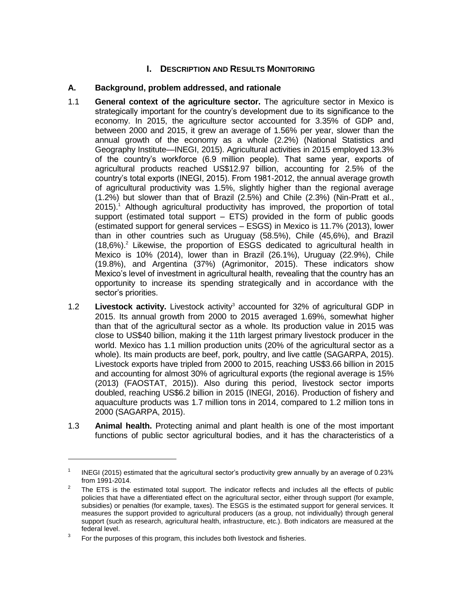# **I. DESCRIPTION AND RESULTS MONITORING**

### **A. Background, problem addressed, and rationale**

- 1.1 **General context of the agriculture sector.** The agriculture sector in Mexico is strategically important for the country's development due to its significance to the economy. In 2015, the agriculture sector accounted for 3.35% of GDP and, between 2000 and 2015, it grew an average of 1.56% per year, slower than the annual growth of the economy as a whole (2.2%) (National Statistics and Geography Institute—INEGI, 2015). Agricultural activities in 2015 employed 13.3% of the country's workforce (6.9 million people). That same year, exports of agricultural products reached US\$12.97 billion, accounting for 2.5% of the country's total exports (INEGI, 2015). From 1981-2012, the annual average growth of agricultural productivity was 1.5%, slightly higher than the regional average (1.2%) but slower than that of Brazil (2.5%) and Chile (2.3%) (Nin-Pratt et al.,  $2015$ ).<sup>1</sup> Although agricultural productivity has improved, the proportion of total support (estimated total support  $-$  ETS) provided in the form of public goods (estimated support for general services – ESGS) in Mexico is 11.7% (2013), lower than in other countries such as Uruguay (58.5%), Chile (45,6%), and Brazil  $(18,6\%)$ .<sup>2</sup> Likewise, the proportion of ESGS dedicated to agricultural health in Mexico is 10% (2014), lower than in Brazil (26.1%), Uruguay (22.9%), Chile (19.8%), and Argentina (37%) (Agrimonitor, 2015). These indicators show Mexico's level of investment in agricultural health, revealing that the country has an opportunity to increase its spending strategically and in accordance with the sector's priorities.
- 1.2 **Livestock activity.** Livestock activity<sup>3</sup> accounted for 32% of agricultural GDP in 2015. Its annual growth from 2000 to 2015 averaged 1.69%, somewhat higher than that of the agricultural sector as a whole. Its production value in 2015 was close to US\$40 billion, making it the 11th largest primary livestock producer in the world. Mexico has 1.1 million production units (20% of the agricultural sector as a whole). Its main products are beef, pork, poultry, and live cattle (SAGARPA, 2015). Livestock exports have tripled from 2000 to 2015, reaching US\$3.66 billion in 2015 and accounting for almost 30% of agricultural exports (the regional average is 15% (2013) (FAOSTAT, 2015)). Also during this period, livestock sector imports doubled, reaching US\$6.2 billion in 2015 (INEGI, 2016). Production of fishery and aquaculture products was 1.7 million tons in 2014, compared to 1.2 million tons in 2000 (SAGARPA, 2015).
- 1.3 **Animal health.** Protecting animal and plant health is one of the most important functions of public sector agricultural bodies, and it has the characteristics of a

<sup>1</sup> INEGI (2015) estimated that the agricultural sector's productivity grew annually by an average of 0.23% from 1991-2014.

<sup>2</sup> The ETS is the estimated total support. The indicator reflects and includes all the effects of public policies that have a differentiated effect on the agricultural sector, either through support (for example, subsidies) or penalties (for example, taxes). The ESGS is the estimated support for general services. It measures the support provided to agricultural producers (as a group, not individually) through general support (such as research, agricultural health, infrastructure, etc.). Both indicators are measured at the federal level.

<sup>3</sup> For the purposes of this program, this includes both livestock and fisheries.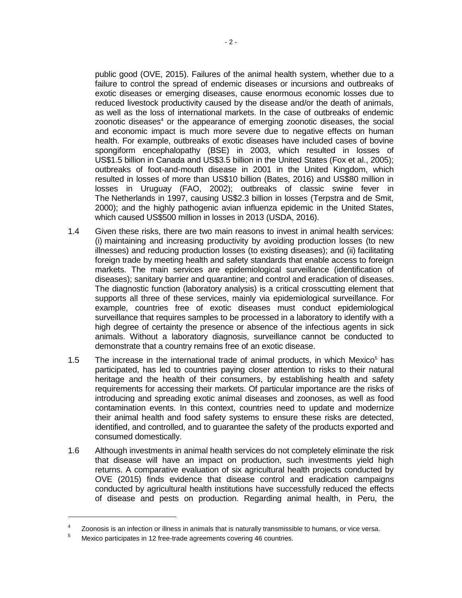public good (OVE, 2015). Failures of the animal health system, whether due to a failure to control the spread of endemic diseases or incursions and outbreaks of exotic diseases or emerging diseases, cause enormous economic losses due to reduced livestock productivity caused by the disease and/or the death of animals, as well as the loss of international markets. In the case of outbreaks of endemic zoonotic diseases <sup>4</sup> or the appearance of emerging zoonotic diseases, the social and economic impact is much more severe due to negative effects on human health. For example, outbreaks of exotic diseases have included cases of bovine spongiform encephalopathy (BSE) in 2003, which resulted in losses of US\$1.5 billion in Canada and US\$3.5 billion in the United States (Fox et al., 2005); outbreaks of foot-and-mouth disease in 2001 in the United Kingdom, which resulted in losses of more than US\$10 billion (Bates, 2016) and US\$80 million in losses in Uruguay (FAO, 2002); outbreaks of classic swine fever in The Netherlands in 1997, causing US\$2.3 billion in losses (Terpstra and de Smit, 2000); and the highly pathogenic avian influenza epidemic in the United States, which caused US\$500 million in losses in 2013 (USDA, 2016).

- 1.4 Given these risks, there are two main reasons to invest in animal health services: (i) maintaining and increasing productivity by avoiding production losses (to new illnesses) and reducing production losses (to existing diseases); and (ii) facilitating foreign trade by meeting health and safety standards that enable access to foreign markets. The main services are epidemiological surveillance (identification of diseases); sanitary barrier and quarantine; and control and eradication of diseases. The diagnostic function (laboratory analysis) is a critical crosscutting element that supports all three of these services, mainly via epidemiological surveillance. For example, countries free of exotic diseases must conduct epidemiological surveillance that requires samples to be processed in a laboratory to identify with a high degree of certainty the presence or absence of the infectious agents in sick animals. Without a laboratory diagnosis, surveillance cannot be conducted to demonstrate that a country remains free of an exotic disease.
- 1.5 The increase in the international trade of animal products, in which Mexico $<sup>5</sup>$  has</sup> participated, has led to countries paying closer attention to risks to their natural heritage and the health of their consumers, by establishing health and safety requirements for accessing their markets. Of particular importance are the risks of introducing and spreading exotic animal diseases and zoonoses, as well as food contamination events. In this context, countries need to update and modernize their animal health and food safety systems to ensure these risks are detected, identified, and controlled, and to guarantee the safety of the products exported and consumed domestically.
- 1.6 Although investments in animal health services do not completely eliminate the risk that disease will have an impact on production, such investments yield high returns. A comparative evaluation of six agricultural health projects conducted by OVE (2015) finds evidence that disease control and eradication campaigns conducted by agricultural health institutions have successfully reduced the effects of disease and pests on production. Regarding animal health, in Peru, the

<sup>4</sup> Zoonosis is an infection or illness in animals that is naturally transmissible to humans, or vice versa.

<sup>&</sup>lt;sup>5</sup> Mexico participates in 12 free-trade agreements covering 46 countries.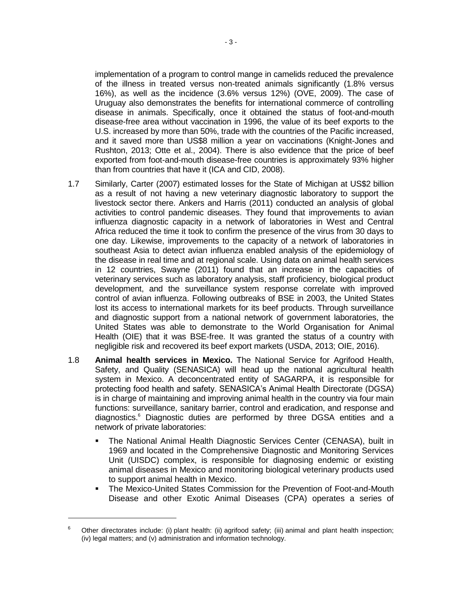implementation of a program to control mange in camelids reduced the prevalence of the illness in treated versus non-treated animals significantly (1.8% versus 16%), as well as the incidence (3.6% versus 12%) (OVE, 2009). The case of Uruguay also demonstrates the benefits for international commerce of controlling disease in animals. Specifically, once it obtained the status of foot-and-mouth disease-free area without vaccination in 1996, the value of its beef exports to the U.S. increased by more than 50%, trade with the countries of the Pacific increased, and it saved more than US\$8 million a year on vaccinations (Knight-Jones and Rushton, 2013; Otte et al., 2004). There is also evidence that the price of beef exported from foot-and-mouth disease-free countries is approximately 93% higher than from countries that have it (ICA and CID, 2008).

- 1.7 Similarly, Carter (2007) estimated losses for the State of Michigan at US\$2 billion as a result of not having a new veterinary diagnostic laboratory to support the livestock sector there. Ankers and Harris (2011) conducted an analysis of global activities to control pandemic diseases. They found that improvements to avian influenza diagnostic capacity in a network of laboratories in West and Central Africa reduced the time it took to confirm the presence of the virus from 30 days to one day. Likewise, improvements to the capacity of a network of laboratories in southeast Asia to detect avian influenza enabled analysis of the epidemiology of the disease in real time and at regional scale. Using data on animal health services in 12 countries, Swayne (2011) found that an increase in the capacities of veterinary services such as laboratory analysis, staff proficiency, biological product development, and the surveillance system response correlate with improved control of avian influenza. Following outbreaks of BSE in 2003, the United States lost its access to international markets for its beef products. Through surveillance and diagnostic support from a national network of government laboratories, the United States was able to demonstrate to the World Organisation for Animal Health (OIE) that it was BSE-free. It was granted the status of a country with negligible risk and recovered its beef export markets (USDA, 2013; OIE, 2016).
- 1.8 **Animal health services in Mexico.** The National Service for Agrifood Health, Safety, and Quality (SENASICA) will head up the national agricultural health system in Mexico. A deconcentrated entity of SAGARPA, it is responsible for protecting food health and safety. SENASICA's Animal Health Directorate (DGSA) is in charge of maintaining and improving animal health in the country via four main functions: surveillance, sanitary barrier, control and eradication, and response and diagnostics.<sup>6</sup> Diagnostic duties are performed by three DGSA entities and a network of private laboratories:
	- The National Animal Health Diagnostic Services Center (CENASA), built in 1969 and located in the Comprehensive Diagnostic and Monitoring Services Unit (UISDC) complex, is responsible for diagnosing endemic or existing animal diseases in Mexico and monitoring biological veterinary products used to support animal health in Mexico.
	- The Mexico-United States Commission for the Prevention of Foot-and-Mouth Disease and other Exotic Animal Diseases (CPA) operates a series of

<sup>&</sup>lt;sup>6</sup> Other directorates include: (i) plant health: (ii) agrifood safety; (iii) animal and plant health inspection; (iv) legal matters; and (v) administration and information technology.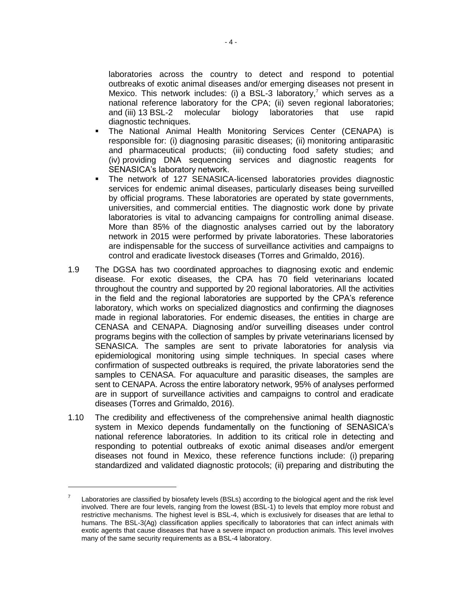laboratories across the country to detect and respond to potential outbreaks of exotic animal diseases and/or emerging diseases not present in Mexico. This network includes: (i) a BSL-3 laboratory,<sup>7</sup> which serves as a national reference laboratory for the CPA; (ii) seven regional laboratories; and (iii) 13 BSL-2 molecular biology laboratories that use rapid diagnostic techniques.

- The National Animal Health Monitoring Services Center (CENAPA) is responsible for: (i) diagnosing parasitic diseases; (ii) monitoring antiparasitic and pharmaceutical products; (iii) conducting food safety studies; and (iv) providing DNA sequencing services and diagnostic reagents for SENASICA's laboratory network.
- The network of 127 SENASICA-licensed laboratories provides diagnostic services for endemic animal diseases, particularly diseases being surveilled by official programs. These laboratories are operated by state governments, universities, and commercial entities. The diagnostic work done by private laboratories is vital to advancing campaigns for controlling animal disease. More than 85% of the diagnostic analyses carried out by the laboratory network in 2015 were performed by private laboratories. These laboratories are indispensable for the success of surveillance activities and campaigns to control and eradicate livestock diseases (Torres and Grimaldo, 2016).
- 1.9 The DGSA has two coordinated approaches to diagnosing exotic and endemic disease. For exotic diseases, the CPA has 70 field veterinarians located throughout the country and supported by 20 regional laboratories. All the activities in the field and the regional laboratories are supported by the CPA's reference laboratory, which works on specialized diagnostics and confirming the diagnoses made in regional laboratories. For endemic diseases, the entities in charge are CENASA and CENAPA. Diagnosing and/or surveilling diseases under control programs begins with the collection of samples by private veterinarians licensed by SENASICA. The samples are sent to private laboratories for analysis via epidemiological monitoring using simple techniques. In special cases where confirmation of suspected outbreaks is required, the private laboratories send the samples to CENASA. For aquaculture and parasitic diseases, the samples are sent to CENAPA. Across the entire laboratory network, 95% of analyses performed are in support of surveillance activities and campaigns to control and eradicate diseases (Torres and Grimaldo, 2016).
- 1.10 The credibility and effectiveness of the comprehensive animal health diagnostic system in Mexico depends fundamentally on the functioning of SENASICA's national reference laboratories. In addition to its critical role in detecting and responding to potential outbreaks of exotic animal diseases and/or emergent diseases not found in Mexico, these reference functions include: (i) preparing standardized and validated diagnostic protocols; (ii) preparing and distributing the

 $\overline{a}$ 

<sup>7</sup> Laboratories are classified by biosafety levels (BSLs) according to the biological agent and the risk level involved. There are four levels, ranging from the lowest (BSL-1) to levels that employ more robust and restrictive mechanisms. The highest level is BSL-4, which is exclusively for diseases that are lethal to humans. The BSL-3(Ag) classification applies specifically to laboratories that can infect animals with exotic agents that cause diseases that have a severe impact on production animals. This level involves many of the same security requirements as a BSL-4 laboratory.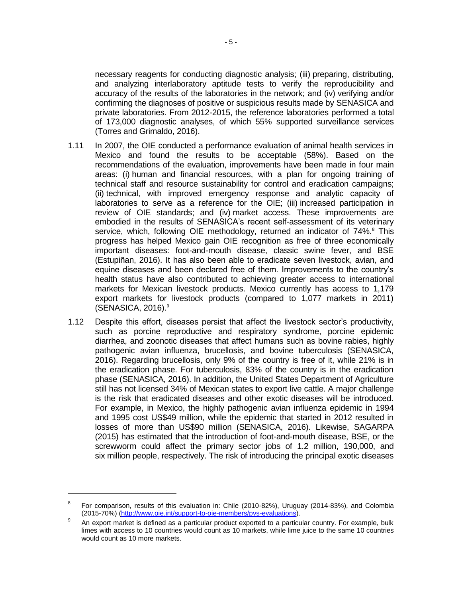necessary reagents for conducting diagnostic analysis; (iii) preparing, distributing, and analyzing interlaboratory aptitude tests to verify the reproducibility and accuracy of the results of the laboratories in the network; and (iv) verifying and/or confirming the diagnoses of positive or suspicious results made by SENASICA and private laboratories. From 2012-2015, the reference laboratories performed a total of 173,000 diagnostic analyses, of which 55% supported surveillance services (Torres and Grimaldo, 2016).

- 1.11 In 2007, the OIE conducted a performance evaluation of animal health services in Mexico and found the results to be acceptable (58%). Based on the recommendations of the evaluation, improvements have been made in four main areas: (i) human and financial resources, with a plan for ongoing training of technical staff and resource sustainability for control and eradication campaigns; (ii) technical, with improved emergency response and analytic capacity of laboratories to serve as a reference for the OIE; (iii) increased participation in review of OIE standards; and (iv) market access. These improvements are embodied in the results of SENASICA's recent self-assessment of its veterinary service, which, following OIE methodology, returned an indicator of  $74\%$ .<sup>8</sup> This progress has helped Mexico gain OIE recognition as free of three economically important diseases: foot-and-mouth disease, classic swine fever, and BSE (Estupiñan, 2016). It has also been able to eradicate seven livestock, avian, and equine diseases and been declared free of them. Improvements to the country's health status have also contributed to achieving greater access to international markets for Mexican livestock products. Mexico currently has access to 1,179 export markets for livestock products (compared to 1,077 markets in 2011) (SENASICA,  $2016$ ).<sup>9</sup>
- 1.12 Despite this effort, diseases persist that affect the livestock sector's productivity, such as porcine reproductive and respiratory syndrome, porcine epidemic diarrhea, and zoonotic diseases that affect humans such as bovine rabies, highly pathogenic avian influenza, brucellosis, and bovine tuberculosis (SENASICA, 2016). Regarding brucellosis, only 9% of the country is free of it, while 21% is in the eradication phase. For tuberculosis, 83% of the country is in the eradication phase (SENASICA, 2016). In addition, the United States Department of Agriculture still has not licensed 34% of Mexican states to export live cattle. A major challenge is the risk that eradicated diseases and other exotic diseases will be introduced. For example, in Mexico, the highly pathogenic avian influenza epidemic in 1994 and 1995 cost US\$49 million, while the epidemic that started in 2012 resulted in losses of more than US\$90 million (SENASICA, 2016). Likewise, SAGARPA (2015) has estimated that the introduction of foot-and-mouth disease, BSE, or the screwworm could affect the primary sector jobs of 1.2 million, 190,000, and six million people, respectively. The risk of introducing the principal exotic diseases

<sup>8</sup> For comparison, results of this evaluation in: Chile (2010-82%), Uruguay (2014-83%), and Colombia (2015-70%) [\(http://www.oie.int/support-to-oie-members/pvs-evaluations\)](http://www.oie.int/support-to-oie-members/pvs-evaluations).

<sup>9</sup> An export market is defined as a particular product exported to a particular country. For example, bulk limes with access to 10 countries would count as 10 markets, while lime juice to the same 10 countries would count as 10 more markets.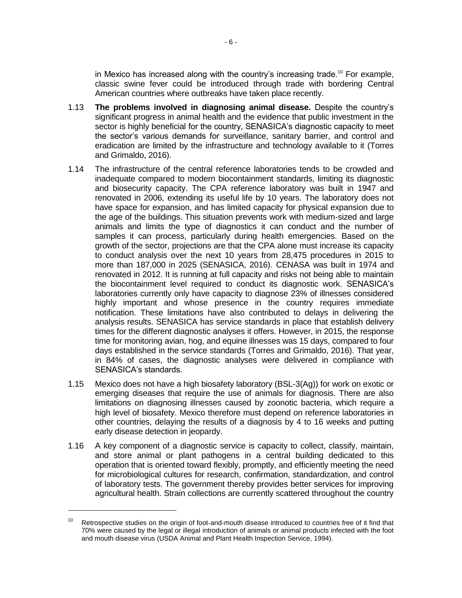in Mexico has increased along with the country's increasing trade.<sup>10</sup> For example, classic swine fever could be introduced through trade with bordering Central American countries where outbreaks have taken place recently.

- 1.13 **The problems involved in diagnosing animal disease.** Despite the country's significant progress in animal health and the evidence that public investment in the sector is highly beneficial for the country, SENASICA's diagnostic capacity to meet the sector's various demands for surveillance, sanitary barrier, and control and eradication are limited by the infrastructure and technology available to it (Torres and Grimaldo, 2016).
- 1.14 The infrastructure of the central reference laboratories tends to be crowded and inadequate compared to modern biocontainment standards, limiting its diagnostic and biosecurity capacity. The CPA reference laboratory was built in 1947 and renovated in 2006, extending its useful life by 10 years. The laboratory does not have space for expansion, and has limited capacity for physical expansion due to the age of the buildings. This situation prevents work with medium-sized and large animals and limits the type of diagnostics it can conduct and the number of samples it can process, particularly during health emergencies. Based on the growth of the sector, projections are that the CPA alone must increase its capacity to conduct analysis over the next 10 years from 28,475 procedures in 2015 to more than 187,000 in 2025 (SENASICA, 2016). CENASA was built in 1974 and renovated in 2012. It is running at full capacity and risks not being able to maintain the biocontainment level required to conduct its diagnostic work. SENASICA's laboratories currently only have capacity to diagnose 23% of illnesses considered highly important and whose presence in the country requires immediate notification. These limitations have also contributed to delays in delivering the analysis results. SENASICA has service standards in place that establish delivery times for the different diagnostic analyses it offers. However, in 2015, the response time for monitoring avian, hog, and equine illnesses was 15 days, compared to four days established in the service standards (Torres and Grimaldo, 2016). That year, in 84% of cases, the diagnostic analyses were delivered in compliance with SENASICA's standards.
- 1.15 Mexico does not have a high biosafety laboratory (BSL-3(Ag)) for work on exotic or emerging diseases that require the use of animals for diagnosis. There are also limitations on diagnosing illnesses caused by zoonotic bacteria, which require a high level of biosafety. Mexico therefore must depend on reference laboratories in other countries, delaying the results of a diagnosis by 4 to 16 weeks and putting early disease detection in jeopardy.
- 1.16 A key component of a diagnostic service is capacity to collect, classify, maintain, and store animal or plant pathogens in a central building dedicated to this operation that is oriented toward flexibly, promptly, and efficiently meeting the need for microbiological cultures for research, confirmation, standardization, and control of laboratory tests. The government thereby provides better services for improving agricultural health. Strain collections are currently scattered throughout the country

 $\overline{a}$ 

<sup>&</sup>lt;sup>10</sup> Retrospective studies on the origin of foot-and-mouth disease introduced to countries free of it find that 70% were caused by the legal or illegal introduction of animals or animal products infected with the foot and mouth disease virus (USDA Animal and Plant Health Inspection Service, 1994).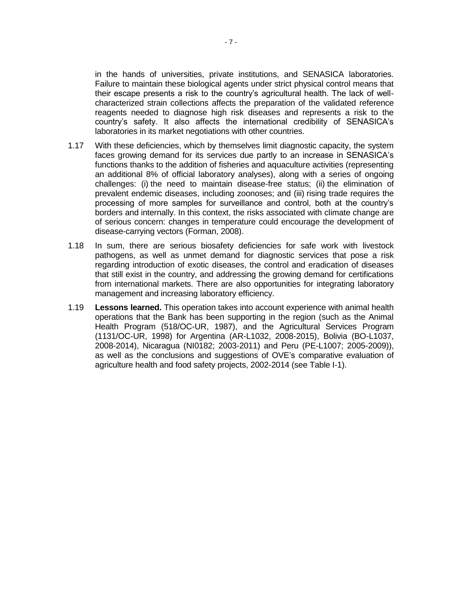in the hands of universities, private institutions, and SENASICA laboratories. Failure to maintain these biological agents under strict physical control means that their escape presents a risk to the country's agricultural health. The lack of wellcharacterized strain collections affects the preparation of the validated reference reagents needed to diagnose high risk diseases and represents a risk to the country's safety. It also affects the international credibility of SENASICA's laboratories in its market negotiations with other countries.

- 1.17 With these deficiencies, which by themselves limit diagnostic capacity, the system faces growing demand for its services due partly to an increase in SENASICA's functions thanks to the addition of fisheries and aquaculture activities (representing an additional 8% of official laboratory analyses), along with a series of ongoing challenges: (i) the need to maintain disease-free status; (ii) the elimination of prevalent endemic diseases, including zoonoses; and (iii) rising trade requires the processing of more samples for surveillance and control, both at the country's borders and internally. In this context, the risks associated with climate change are of serious concern: changes in temperature could encourage the development of disease-carrying vectors (Forman, 2008).
- 1.18 In sum, there are serious biosafety deficiencies for safe work with livestock pathogens, as well as unmet demand for diagnostic services that pose a risk regarding introduction of exotic diseases, the control and eradication of diseases that still exist in the country, and addressing the growing demand for certifications from international markets. There are also opportunities for integrating laboratory management and increasing laboratory efficiency.
- 1.19 **Lessons learned.** This operation takes into account experience with animal health operations that the Bank has been supporting in the region (such as the Animal Health Program (518/OC-UR, 1987), and the Agricultural Services Program (1131/OC-UR, 1998) for Argentina (AR-L1032, 2008-2015), Bolivia (BO-L1037, 2008-2014), Nicaragua (NI0182; 2003-2011) and Peru (PE-L1007; 2005-2009)), as well as the conclusions and suggestions of OVE's comparative evaluation of agriculture health and food safety projects, 2002-2014 (see Table I-1).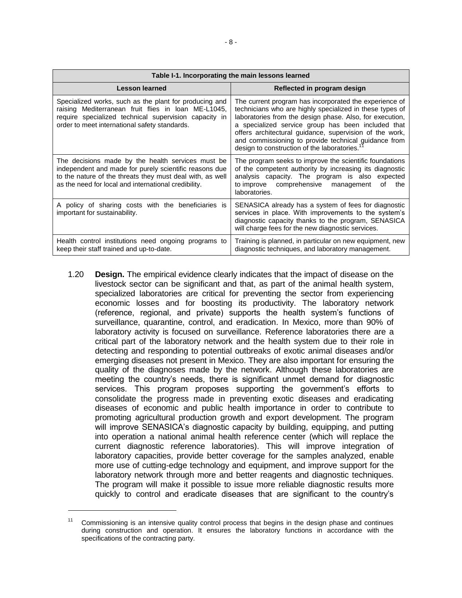| Table I-1. Incorporating the main lessons learned                                                                                                                                                                                |                                                                                                                                                                                                                                                                                                                                                                                                                      |  |  |  |  |  |
|----------------------------------------------------------------------------------------------------------------------------------------------------------------------------------------------------------------------------------|----------------------------------------------------------------------------------------------------------------------------------------------------------------------------------------------------------------------------------------------------------------------------------------------------------------------------------------------------------------------------------------------------------------------|--|--|--|--|--|
| <b>Lesson learned</b>                                                                                                                                                                                                            | Reflected in program design                                                                                                                                                                                                                                                                                                                                                                                          |  |  |  |  |  |
| Specialized works, such as the plant for producing and<br>raising Mediterranean fruit flies in Ioan ME-L1045,<br>require specialized technical supervision capacity in<br>order to meet international safety standards.          | The current program has incorporated the experience of<br>technicians who are highly specialized in these types of<br>laboratories from the design phase. Also, for execution,<br>a specialized service group has been included that<br>offers architectural guidance, supervision of the work,<br>and commissioning to provide technical guidance from<br>design to construction of the laboratories. <sup>17</sup> |  |  |  |  |  |
| The decisions made by the health services must be<br>independent and made for purely scientific reasons due<br>to the nature of the threats they must deal with, as well<br>as the need for local and international credibility. | The program seeks to improve the scientific foundations<br>of the competent authority by increasing its diagnostic<br>analysis capacity. The program is also expected<br>to improve comprehensive management<br>the<br>οf<br>laboratories.                                                                                                                                                                           |  |  |  |  |  |
| A policy of sharing costs with the beneficiaries is<br>important for sustainability.                                                                                                                                             | SENASICA already has a system of fees for diagnostic<br>services in place. With improvements to the system's<br>diagnostic capacity thanks to the program, SENASICA<br>will charge fees for the new diagnostic services.                                                                                                                                                                                             |  |  |  |  |  |
| Health control institutions need ongoing programs to<br>keep their staff trained and up-to-date.                                                                                                                                 | Training is planned, in particular on new equipment, new<br>diagnostic techniques, and laboratory management.                                                                                                                                                                                                                                                                                                        |  |  |  |  |  |

1.20 **Design.** The empirical evidence clearly indicates that the impact of disease on the livestock sector can be significant and that, as part of the animal health system, specialized laboratories are critical for preventing the sector from experiencing economic losses and for boosting its productivity. The laboratory network (reference, regional, and private) supports the health system's functions of surveillance, quarantine, control, and eradication. In Mexico, more than 90% of laboratory activity is focused on surveillance. Reference laboratories there are a critical part of the laboratory network and the health system due to their role in detecting and responding to potential outbreaks of exotic animal diseases and/or emerging diseases not present in Mexico. They are also important for ensuring the quality of the diagnoses made by the network. Although these laboratories are meeting the country's needs, there is significant unmet demand for diagnostic services. This program proposes supporting the government's efforts to consolidate the progress made in preventing exotic diseases and eradicating diseases of economic and public health importance in order to contribute to promoting agricultural production growth and export development. The program will improve SENASICA's diagnostic capacity by building, equipping, and putting into operation a national animal health reference center (which will replace the current diagnostic reference laboratories). This will improve integration of laboratory capacities, provide better coverage for the samples analyzed, enable more use of cutting-edge technology and equipment, and improve support for the laboratory network through more and better reagents and diagnostic techniques. The program will make it possible to issue more reliable diagnostic results more quickly to control and eradicate diseases that are significant to the country's

 $\overline{a}$ 

Commissioning is an intensive quality control process that begins in the design phase and continues during construction and operation. It ensures the laboratory functions in accordance with the specifications of the contracting party.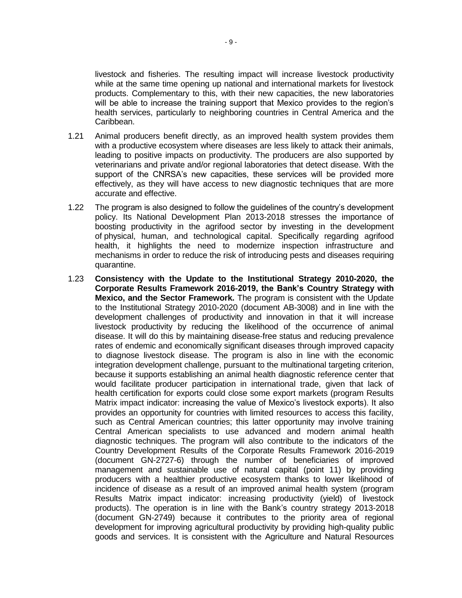livestock and fisheries. The resulting impact will increase livestock productivity while at the same time opening up national and international markets for livestock products. Complementary to this, with their new capacities, the new laboratories will be able to increase the training support that Mexico provides to the region's health services, particularly to neighboring countries in Central America and the Caribbean.

- 1.21 Animal producers benefit directly, as an improved health system provides them with a productive ecosystem where diseases are less likely to attack their animals, leading to positive impacts on productivity. The producers are also supported by veterinarians and private and/or regional laboratories that detect disease. With the support of the CNRSA's new capacities, these services will be provided more effectively, as they will have access to new diagnostic techniques that are more accurate and effective.
- 1.22 The program is also designed to follow the guidelines of the country's development policy. Its National Development Plan 2013-2018 stresses the importance of boosting productivity in the agrifood sector by investing in the development of physical, human, and technological capital. Specifically regarding agrifood health, it highlights the need to modernize inspection infrastructure and mechanisms in order to reduce the risk of introducing pests and diseases requiring quarantine.
- 1.23 **Consistency with the Update to the Institutional Strategy 2010-2020, the Corporate Results Framework 2016-2019, the Bank's Country Strategy with Mexico, and the Sector Framework.** The program is consistent with the Update to the Institutional Strategy 2010-2020 (document AB-3008) and in line with the development challenges of productivity and innovation in that it will increase livestock productivity by reducing the likelihood of the occurrence of animal disease. It will do this by maintaining disease-free status and reducing prevalence rates of endemic and economically significant diseases through improved capacity to diagnose livestock disease. The program is also in line with the economic integration development challenge, pursuant to the multinational targeting criterion, because it supports establishing an animal health diagnostic reference center that would facilitate producer participation in international trade, given that lack of health certification for exports could close some export markets (program Results Matrix impact indicator: increasing the value of Mexico's livestock exports). It also provides an opportunity for countries with limited resources to access this facility, such as Central American countries; this latter opportunity may involve training Central American specialists to use advanced and modern animal health diagnostic techniques. The program will also contribute to the indicators of the Country Development Results of the Corporate Results Framework 2016-2019 (document GN-2727-6) through the number of beneficiaries of improved management and sustainable use of natural capital (point 11) by providing producers with a healthier productive ecosystem thanks to lower likelihood of incidence of disease as a result of an improved animal health system (program Results Matrix impact indicator: increasing productivity (yield) of livestock products). The operation is in line with the Bank's country strategy 2013-2018 (document GN-2749) because it contributes to the priority area of regional development for improving agricultural productivity by providing high-quality public goods and services. It is consistent with the Agriculture and Natural Resources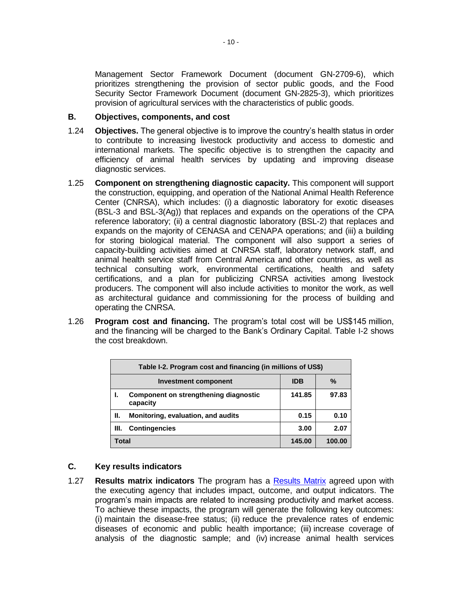Management Sector Framework Document (document GN-2709-6), which prioritizes strengthening the provision of sector public goods, and the Food Security Sector Framework Document (document GN-2825-3), which prioritizes provision of agricultural services with the characteristics of public goods.

### **B. Objectives, components, and cost**

- 1.24 **Objectives.** The general objective is to improve the country's health status in order to contribute to increasing livestock productivity and access to domestic and international markets. The specific objective is to strengthen the capacity and efficiency of animal health services by updating and improving disease diagnostic services.
- 1.25 **Component on strengthening diagnostic capacity.** This component will support the construction, equipping, and operation of the National Animal Health Reference Center (CNRSA), which includes: (i) a diagnostic laboratory for exotic diseases (BSL-3 and BSL-3(Ag)) that replaces and expands on the operations of the CPA reference laboratory; (ii) a central diagnostic laboratory (BSL-2) that replaces and expands on the majority of CENASA and CENAPA operations; and (iii) a building for storing biological material. The component will also support a series of capacity-building activities aimed at CNRSA staff, laboratory network staff, and animal health service staff from Central America and other countries, as well as technical consulting work, environmental certifications, health and safety certifications, and a plan for publicizing CNRSA activities among livestock producers. The component will also include activities to monitor the work, as well as architectural guidance and commissioning for the process of building and operating the CNRSA.
- 1.26 **Program cost and financing.** The program's total cost will be US\$145 million, and the financing will be charged to the Bank's Ordinary Capital. Table I-2 shows the cost breakdown.

|                                         | Table I-2. Program cost and financing (in millions of US\$) |        |        |  |  |  |  |
|-----------------------------------------|-------------------------------------------------------------|--------|--------|--|--|--|--|
| %<br><b>IDB</b><br>Investment component |                                                             |        |        |  |  |  |  |
|                                         | Component on strengthening diagnostic<br>capacity           | 141.85 | 97.83  |  |  |  |  |
| н.                                      | Monitoring, evaluation, and audits                          | 0.15   | 0.10   |  |  |  |  |
| Ш.                                      | <b>Contingencies</b>                                        | 3.00   | 2.07   |  |  |  |  |
| Total                                   |                                                             | 145.00 | 100.00 |  |  |  |  |

### **C. Key results indicators**

1.27 **Results matrix indicators** The program has a [Results Matrix](http://idbdocs.iadb.org/wsdocs/getDocument.aspx?DOCNUM=40675678) agreed upon with the executing agency that includes impact, outcome, and output indicators. The program's main impacts are related to increasing productivity and market access. To achieve these impacts, the program will generate the following key outcomes: (i) maintain the disease-free status; (ii) reduce the prevalence rates of endemic diseases of economic and public health importance; (iii) increase coverage of analysis of the diagnostic sample; and (iv) increase animal health services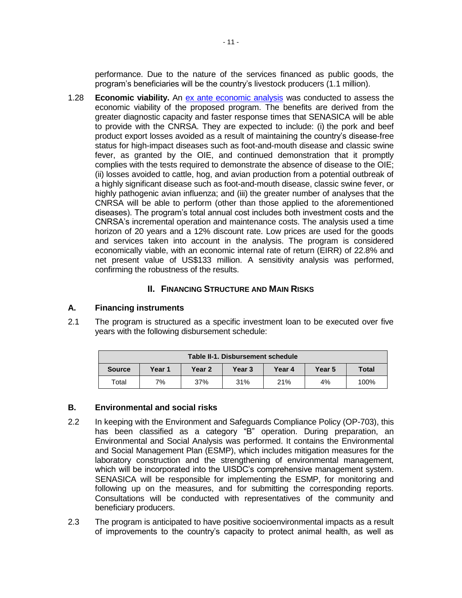performance. Due to the nature of the services financed as public goods, the program's beneficiaries will be the country's livestock producers (1.1 million).

1.28 **Economic viability.** An [ex ante economic analysis](http://idbdocs.iadb.org/wsdocs/getDocument.aspx?DOCNUM=40677882) was conducted to assess the economic viability of the proposed program. The benefits are derived from the greater diagnostic capacity and faster response times that SENASICA will be able to provide with the CNRSA. They are expected to include: (i) the pork and beef product export losses avoided as a result of maintaining the country's disease-free status for high-impact diseases such as foot-and-mouth disease and classic swine fever, as granted by the OIE, and continued demonstration that it promptly complies with the tests required to demonstrate the absence of disease to the OIE; (ii) losses avoided to cattle, hog, and avian production from a potential outbreak of a highly significant disease such as foot-and-mouth disease, classic swine fever, or highly pathogenic avian influenza; and (iii) the greater number of analyses that the CNRSA will be able to perform (other than those applied to the aforementioned diseases). The program's total annual cost includes both investment costs and the CNRSA's incremental operation and maintenance costs. The analysis used a time horizon of 20 years and a 12% discount rate. Low prices are used for the goods and services taken into account in the analysis. The program is considered economically viable, with an economic internal rate of return (EIRR) of 22.8% and net present value of US\$133 million. A sensitivity analysis was performed, confirming the robustness of the results.

### **II. FINANCING STRUCTURE AND MAIN RISKS**

### **A. Financing instruments**

2.1 The program is structured as a specific investment loan to be executed over five years with the following disbursement schedule:

| Table II-1, Disbursement schedule                               |    |     |     |     |              |      |  |
|-----------------------------------------------------------------|----|-----|-----|-----|--------------|------|--|
| Year 1<br>Year 2<br>Year 3<br><b>Year 5</b><br>Year 4<br>Source |    |     |     |     | <b>Total</b> |      |  |
| Total                                                           | 7% | 37% | 31% | 21% | 4%           | 100% |  |

### **B. Environmental and social risks**

- 2.2 In keeping with the Environment and Safeguards Compliance Policy (OP-703), this has been classified as a category "B" operation. During preparation, an Environmental and Social Analysis was performed. It contains the Environmental and Social Management Plan (ESMP), which includes mitigation measures for the laboratory construction and the strengthening of environmental management, which will be incorporated into the UISDC's comprehensive management system. SENASICA will be responsible for implementing the ESMP, for monitoring and following up on the measures, and for submitting the corresponding reports. Consultations will be conducted with representatives of the community and beneficiary producers.
- 2.3 The program is anticipated to have positive socioenvironmental impacts as a result of improvements to the country's capacity to protect animal health, as well as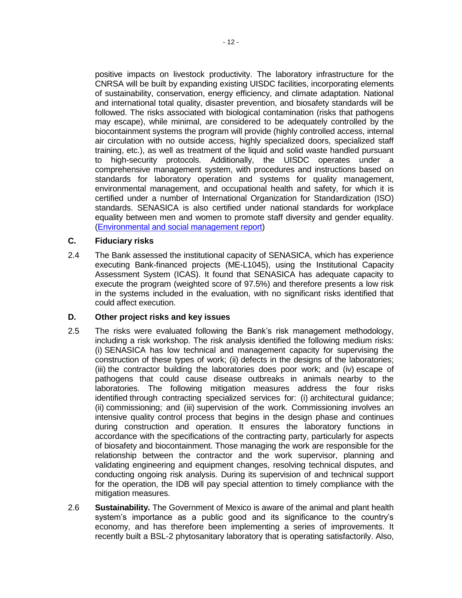positive impacts on livestock productivity. The laboratory infrastructure for the CNRSA will be built by expanding existing UISDC facilities, incorporating elements of sustainability, conservation, energy efficiency, and climate adaptation. National and international total quality, disaster prevention, and biosafety standards will be followed. The risks associated with biological contamination (risks that pathogens may escape), while minimal, are considered to be adequately controlled by the biocontainment systems the program will provide (highly controlled access, internal air circulation with no outside access, highly specialized doors, specialized staff training, etc.), as well as treatment of the liquid and solid waste handled pursuant to high-security protocols. Additionally, the UISDC operates under a comprehensive management system, with procedures and instructions based on standards for laboratory operation and systems for quality management, environmental management, and occupational health and safety, for which it is certified under a number of International Organization for Standardization (ISO) standards. SENASICA is also certified under national standards for workplace equality between men and women to promote staff diversity and gender equality. [\(Environmental and social management report\)](pcdocs://IDBDOCS/40677335/R)

### **C. Fiduciary risks**

2.4 The Bank assessed the institutional capacity of SENASICA, which has experience executing Bank-financed projects (ME-L1045), using the Institutional Capacity Assessment System (ICAS). It found that SENASICA has adequate capacity to execute the program (weighted score of 97.5%) and therefore presents a low risk in the systems included in the evaluation, with no significant risks identified that could affect execution.

## **D. Other project risks and key issues**

- 2.5 The risks were evaluated following the Bank's risk management methodology, including a risk workshop. The risk analysis identified the following medium risks: (i) SENASICA has low technical and management capacity for supervising the construction of these types of work; (ii) defects in the designs of the laboratories; (iii) the contractor building the laboratories does poor work; and (iv) escape of pathogens that could cause disease outbreaks in animals nearby to the laboratories. The following mitigation measures address the four risks identified through contracting specialized services for: (i) architectural guidance; (ii) commissioning; and (iii) supervision of the work. Commissioning involves an intensive quality control process that begins in the design phase and continues during construction and operation. It ensures the laboratory functions in accordance with the specifications of the contracting party, particularly for aspects of biosafety and biocontainment. Those managing the work are responsible for the relationship between the contractor and the work supervisor, planning and validating engineering and equipment changes, resolving technical disputes, and conducting ongoing risk analysis. During its supervision of and technical support for the operation, the IDB will pay special attention to timely compliance with the mitigation measures.
- 2.6 **Sustainability.** The Government of Mexico is aware of the animal and plant health system's importance as a public good and its significance to the country's economy, and has therefore been implementing a series of improvements. It recently built a BSL-2 phytosanitary laboratory that is operating satisfactorily. Also,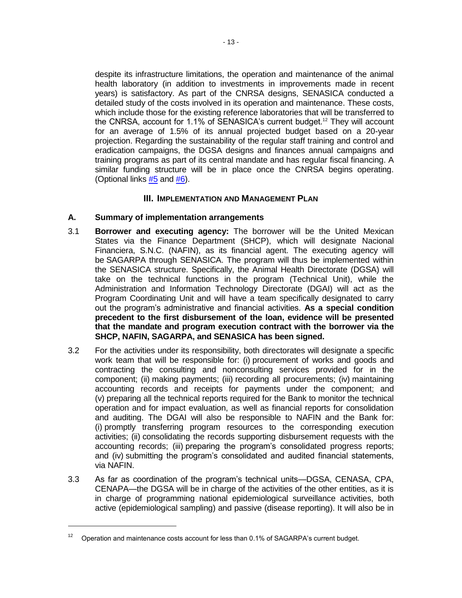despite its infrastructure limitations, the operation and maintenance of the animal health laboratory (in addition to investments in improvements made in recent years) is satisfactory. As part of the CNRSA designs, SENASICA conducted a detailed study of the costs involved in its operation and maintenance. These costs, which include those for the existing reference laboratories that will be transferred to the CNRSA, account for 1.1% of SENASICA's current budget.<sup>12</sup> They will account for an average of 1.5% of its annual projected budget based on a 20-year projection. Regarding the sustainability of the regular staff training and control and eradication campaigns, the DGSA designs and finances annual campaigns and training programs as part of its central mandate and has regular fiscal financing. A similar funding structure will be in place once the CNRSA begins operating. (Optional links  $#5$  and  $#6$ ).

### **III. IMPLEMENTATION AND MANAGEMENT PLAN**

### **A. Summary of implementation arrangements**

- <span id="page-17-0"></span>3.1 **Borrower and executing agency:** The borrower will be the United Mexican States via the Finance Department (SHCP), which will designate Nacional Financiera, S.N.C. (NAFIN), as its financial agent. The executing agency will be SAGARPA through SENASICA. The program will thus be implemented within the SENASICA structure. Specifically, the Animal Health Directorate (DGSA) will take on the technical functions in the program (Technical Unit), while the Administration and Information Technology Directorate (DGAI) will act as the Program Coordinating Unit and will have a team specifically designated to carry out the program's administrative and financial activities. **As a special condition precedent to the first disbursement of the loan, evidence will be presented that the mandate and program execution contract with the borrower via the SHCP, NAFIN, SAGARPA, and SENASICA has been signed.**
- 3.2 For the activities under its responsibility, both directorates will designate a specific work team that will be responsible for: (i) procurement of works and goods and contracting the consulting and nonconsulting services provided for in the component; (ii) making payments; (iii) recording all procurements; (iv) maintaining accounting records and receipts for payments under the component; and (v) preparing all the technical reports required for the Bank to monitor the technical operation and for impact evaluation, as well as financial reports for consolidation and auditing. The DGAI will also be responsible to NAFIN and the Bank for: (i) promptly transferring program resources to the corresponding execution activities; (ii) consolidating the records supporting disbursement requests with the accounting records; (iii) preparing the program's consolidated progress reports; and (iv) submitting the program's consolidated and audited financial statements, via NAFIN.
- 3.3 As far as coordination of the program's technical units—DGSA, CENASA, CPA, CENAPA—the DGSA will be in charge of the activities of the other entities, as it is in charge of programming national epidemiological surveillance activities, both active (epidemiological sampling) and passive (disease reporting). It will also be in

<sup>12</sup> Operation and maintenance costs account for less than 0.1% of SAGARPA's current budget.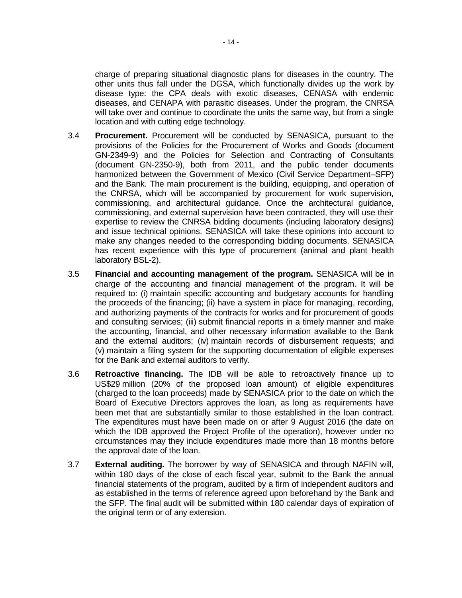charge of preparing situational diagnostic plans for diseases in the country. The other units thus fall under the DGSA, which functionally divides up the work by disease type: the CPA deals with exotic diseases, CENASA with endemic diseases, and CENAPA with parasitic diseases. Under the program, the CNRSA will take over and continue to coordinate the units the same way, but from a single location and with cutting edge technology.

- 3.4 **Procurement.** Procurement will be conducted by SENASICA, pursuant to the provisions of the Policies for the Procurement of Works and Goods (document GN-2349-9) and the Policies for Selection and Contracting of Consultants (document GN-2350-9), both from 2011, and the public tender documents harmonized between the Government of Mexico (Civil Service Department–SFP) and the Bank. The main procurement is the building, equipping, and operation of the CNRSA, which will be accompanied by procurement for work supervision, commissioning, and architectural guidance. Once the architectural guidance, commissioning, and external supervision have been contracted, they will use their expertise to review the CNRSA bidding documents (including laboratory designs) and issue technical opinions. SENASICA will take these opinions into account to make any changes needed to the corresponding bidding documents. SENASICA has recent experience with this type of procurement (animal and plant health laboratory BSL-2).
- 3.5 **Financial and accounting management of the program.** SENASICA will be in charge of the accounting and financial management of the program. It will be required to: (i) maintain specific accounting and budgetary accounts for handling the proceeds of the financing; (ii) have a system in place for managing, recording, and authorizing payments of the contracts for works and for procurement of goods and consulting services; (iii) submit financial reports in a timely manner and make the accounting, financial, and other necessary information available to the Bank and the external auditors; (iv) maintain records of disbursement requests; and (v) maintain a filing system for the supporting documentation of eligible expenses for the Bank and external auditors to verify.
- 3.6 **Retroactive financing.** The IDB will be able to retroactively finance up to US\$29 million (20% of the proposed loan amount) of eligible expenditures (charged to the loan proceeds) made by SENASICA prior to the date on which the Board of Executive Directors approves the loan, as long as requirements have been met that are substantially similar to those established in the loan contract. The expenditures must have been made on or after 9 August 2016 (the date on which the IDB approved the Project Profile of the operation), however under no circumstances may they include expenditures made more than 18 months before the approval date of the loan.
- 3.7 **External auditing.** The borrower by way of SENASICA and through NAFIN will, within 180 days of the close of each fiscal year, submit to the Bank the annual financial statements of the program, audited by a firm of independent auditors and as established in the terms of reference agreed upon beforehand by the Bank and the SFP. The final audit will be submitted within 180 calendar days of expiration of the original term or of any extension.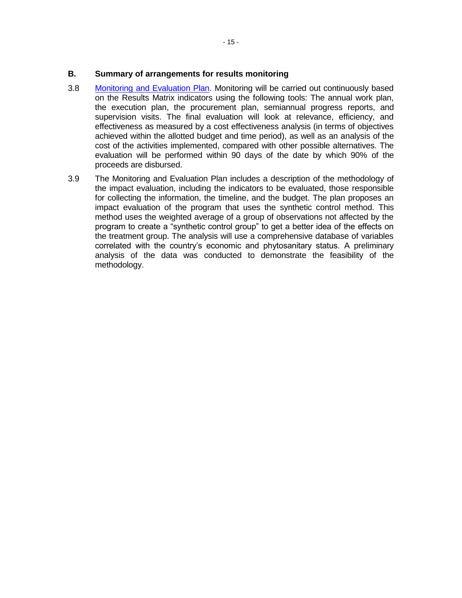### **B. Summary of arrangements for results monitoring**

- 3.8 [Monitoring and Evaluation Plan.](http://idbdocs.iadb.org/wsdocs/getDocument.aspx?DOCNUM=40677263) Monitoring will be carried out continuously based on the Results Matrix indicators using the following tools: The annual work plan, the execution plan, the procurement plan, semiannual progress reports, and supervision visits. The final evaluation will look at relevance, efficiency, and effectiveness as measured by a cost effectiveness analysis (in terms of objectives achieved within the allotted budget and time period), as well as an analysis of the cost of the activities implemented, compared with other possible alternatives. The evaluation will be performed within 90 days of the date by which 90% of the proceeds are disbursed.
- 3.9 The Monitoring and Evaluation Plan includes a description of the methodology of the impact evaluation, including the indicators to be evaluated, those responsible for collecting the information, the timeline, and the budget. The plan proposes an impact evaluation of the program that uses the synthetic control method. This method uses the weighted average of a group of observations not affected by the program to create a "synthetic control group" to get a better idea of the effects on the treatment group. The analysis will use a comprehensive database of variables correlated with the country's economic and phytosanitary status. A preliminary analysis of the data was conducted to demonstrate the feasibility of the methodology.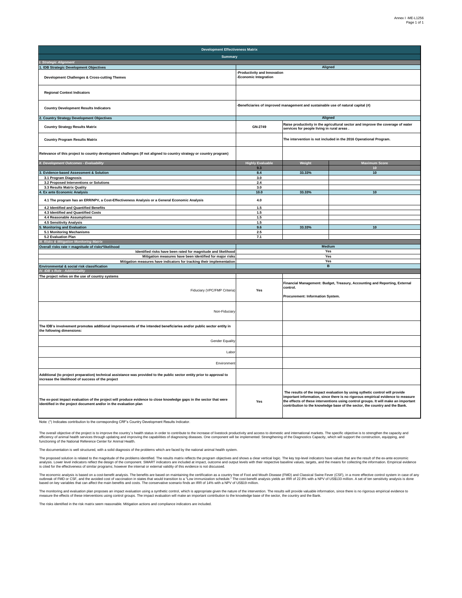| <b>Development Effectiveness Matrix</b>                                                                                                                                                |                                                      |                                                                                  |                                                                                                                                                                                                                                                                                                                                     |  |  |  |
|----------------------------------------------------------------------------------------------------------------------------------------------------------------------------------------|------------------------------------------------------|----------------------------------------------------------------------------------|-------------------------------------------------------------------------------------------------------------------------------------------------------------------------------------------------------------------------------------------------------------------------------------------------------------------------------------|--|--|--|
| <b>Summary</b>                                                                                                                                                                         |                                                      |                                                                                  |                                                                                                                                                                                                                                                                                                                                     |  |  |  |
| I. Strategic Alignment                                                                                                                                                                 |                                                      |                                                                                  |                                                                                                                                                                                                                                                                                                                                     |  |  |  |
| 1. IDB Strategic Development Objectives<br>Development Challenges & Cross-cutting Themes                                                                                               | Productivity and Innovation<br>-Economic Integration | Aligned                                                                          |                                                                                                                                                                                                                                                                                                                                     |  |  |  |
| <b>Regional Context Indicators</b>                                                                                                                                                     |                                                      |                                                                                  |                                                                                                                                                                                                                                                                                                                                     |  |  |  |
| <b>Country Development Results Indicators</b>                                                                                                                                          |                                                      | -Beneficiaries of improved management and sustainable use of natural capital (#) |                                                                                                                                                                                                                                                                                                                                     |  |  |  |
| <b>Country Strategy Development Objectives</b>                                                                                                                                         |                                                      | Aligned                                                                          |                                                                                                                                                                                                                                                                                                                                     |  |  |  |
| <b>Country Strategy Results Matrix</b>                                                                                                                                                 | GN-2749                                              | services for people living in rural areas.                                       | Raise productivity in the agricultural sector and improve the coverage of water                                                                                                                                                                                                                                                     |  |  |  |
| <b>Country Program Results Matrix</b>                                                                                                                                                  |                                                      |                                                                                  | The intervention is not included in the 2016 Operational Program.                                                                                                                                                                                                                                                                   |  |  |  |
| Relevance of this project to country development challenges (If not aligned to country strategy or country program)                                                                    |                                                      |                                                                                  |                                                                                                                                                                                                                                                                                                                                     |  |  |  |
| II. Development Outcomes - Evaluability                                                                                                                                                | <b>Highly Evaluable</b>                              | Weight                                                                           | <b>Maximum Score</b>                                                                                                                                                                                                                                                                                                                |  |  |  |
|                                                                                                                                                                                        | 9.3                                                  |                                                                                  |                                                                                                                                                                                                                                                                                                                                     |  |  |  |
| Evidence-based Assessment & Solution                                                                                                                                                   | 8.4                                                  | 33.33%                                                                           | 10                                                                                                                                                                                                                                                                                                                                  |  |  |  |
| 3.1 Program Diagnosis                                                                                                                                                                  | 3.0                                                  |                                                                                  |                                                                                                                                                                                                                                                                                                                                     |  |  |  |
| 3.2 Proposed Interventions or Solutions                                                                                                                                                | 2.4                                                  |                                                                                  |                                                                                                                                                                                                                                                                                                                                     |  |  |  |
| 3.3 Results Matrix Quality                                                                                                                                                             | 3.0                                                  |                                                                                  |                                                                                                                                                                                                                                                                                                                                     |  |  |  |
| Ex ante Economic Analysis                                                                                                                                                              | 10.0                                                 | 33.33%                                                                           | 10                                                                                                                                                                                                                                                                                                                                  |  |  |  |
| 4.1 The program has an ERR/NPV, a Cost-Effectiveness Analysis or a General Economic Analysis                                                                                           | $4.0\,$                                              |                                                                                  |                                                                                                                                                                                                                                                                                                                                     |  |  |  |
| 4.2 Identified and Quantified Benefits<br>4.3 Identified and Quantified Costs                                                                                                          | 1.5<br>$1.5\,$                                       |                                                                                  |                                                                                                                                                                                                                                                                                                                                     |  |  |  |
| 4.4 Reasonable Assumptions                                                                                                                                                             | 1.5                                                  |                                                                                  |                                                                                                                                                                                                                                                                                                                                     |  |  |  |
| 4.5 Sensitivity Analysis                                                                                                                                                               | 1.5                                                  |                                                                                  |                                                                                                                                                                                                                                                                                                                                     |  |  |  |
| Monitoring and Evaluation                                                                                                                                                              | 9.6                                                  | 33.33%                                                                           | 10                                                                                                                                                                                                                                                                                                                                  |  |  |  |
| 5.1 Monitoring Mechanisms                                                                                                                                                              | 2.5                                                  |                                                                                  |                                                                                                                                                                                                                                                                                                                                     |  |  |  |
| 5.2 Evaluation Plan                                                                                                                                                                    | 7.1                                                  |                                                                                  |                                                                                                                                                                                                                                                                                                                                     |  |  |  |
| <b>II. Risks &amp; Mitigation Monitoring Matrix</b>                                                                                                                                    |                                                      |                                                                                  |                                                                                                                                                                                                                                                                                                                                     |  |  |  |
| Overall risks rate = magnitude of risks*likelihood                                                                                                                                     |                                                      | Medium                                                                           |                                                                                                                                                                                                                                                                                                                                     |  |  |  |
| Identified risks have been rated for magnitude and likelihood                                                                                                                          |                                                      | Yes                                                                              |                                                                                                                                                                                                                                                                                                                                     |  |  |  |
| Mitigation measures have been identified for major risks                                                                                                                               |                                                      | Yes                                                                              |                                                                                                                                                                                                                                                                                                                                     |  |  |  |
| Mitigation measures have indicators for tracking their implementation                                                                                                                  |                                                      | Yes                                                                              |                                                                                                                                                                                                                                                                                                                                     |  |  |  |
| Environmental & social risk classification                                                                                                                                             |                                                      | B                                                                                |                                                                                                                                                                                                                                                                                                                                     |  |  |  |
| IV. IDB's Role - Additionality                                                                                                                                                         |                                                      |                                                                                  |                                                                                                                                                                                                                                                                                                                                     |  |  |  |
| The project relies on the use of country systems                                                                                                                                       |                                                      |                                                                                  |                                                                                                                                                                                                                                                                                                                                     |  |  |  |
| Fiduciary (VPC/FMP Criteria)                                                                                                                                                           | Yes                                                  | control.                                                                         | Financial Management: Budget, Treasury, Accounting and Reporting, External                                                                                                                                                                                                                                                          |  |  |  |
|                                                                                                                                                                                        |                                                      | Procurement: Information System.                                                 |                                                                                                                                                                                                                                                                                                                                     |  |  |  |
| Non-Fiduciary                                                                                                                                                                          |                                                      |                                                                                  |                                                                                                                                                                                                                                                                                                                                     |  |  |  |
| The IDB's involvement promotes additional improvements of the intended beneficiaries and/or public sector entity in<br>the following dimensions:                                       |                                                      |                                                                                  |                                                                                                                                                                                                                                                                                                                                     |  |  |  |
| Gender Equality                                                                                                                                                                        |                                                      |                                                                                  |                                                                                                                                                                                                                                                                                                                                     |  |  |  |
| Labo                                                                                                                                                                                   |                                                      |                                                                                  |                                                                                                                                                                                                                                                                                                                                     |  |  |  |
| Environmen                                                                                                                                                                             |                                                      |                                                                                  |                                                                                                                                                                                                                                                                                                                                     |  |  |  |
| Additional (to project preparation) technical assistance was provided to the public sector entity prior to approval to<br>increase the likelihood of success of the project            |                                                      |                                                                                  |                                                                                                                                                                                                                                                                                                                                     |  |  |  |
| The ex-post impact evaluation of the project will produce evidence to close knowledge gaps in the sector that were<br>identified in the project document and/or in the evaluation plan | Yes                                                  |                                                                                  | The results of the impact evaluation by using sythetic control will provide<br>important information, since there is no rigorous empirical evidence to measure<br>the effects of these interventions using control groups. It will make an important<br>contribution to the knowledge base of the sector, the country and the Bank. |  |  |  |

Note: (\*) Indicates contribution to the corresponding CRF's Country Development Results Indicator.

The overall objective of the project is to improve the country's health status in order to contribute to the increase of livestock productivity and access to domestic and international markets. The specific objective is to

The documentation is well structured, with a solid diagnosis of the problems which are faced by the national animal health system.

The proposed solution is related to the magnitude of the problems identified. The results matrix reflects the program objectives and shows a clear vertical logic. The key top-level indicators have values that are the resul

The economic analysis is based on a cost-benefit analysis. The benefits are based on maintaining the certification as a country free of Foot and Mouth Disease (FMD) and Classical Swine Fever (CSF), in a more effective cont

The monitoring and evaluation plan prosess an impact evaluation using a synthetic control, which is appropriate given the nature of the intervention. The results will provide valuation will mars an important contribution t

The risks identified in the risk matrix seem reasonable. Mitigation actions and compliance indicators are included.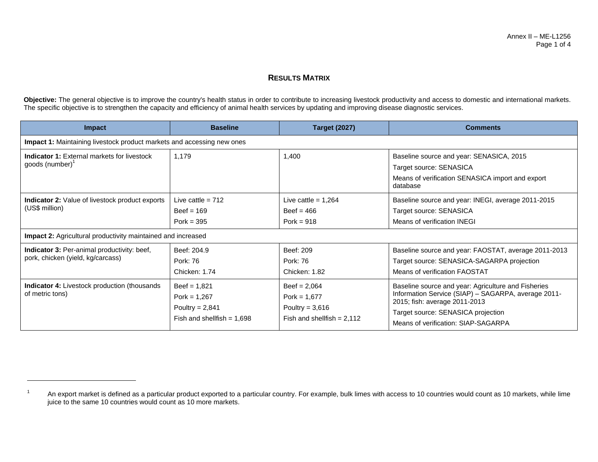### **RESULTS MATRIX**

Objective: The general objective is to improve the country's health status in order to contribute to increasing livestock productivity and access to domestic and international markets. The specific objective is to strengthen the capacity and efficiency of animal health services by updating and improving disease diagnostic services.

| <b>Impact</b>                                                                                                                                           | <b>Baseline</b>                                                                       | <b>Target (2027)</b>                                                                  | <b>Comments</b>                                                                                                                                                                                                          |  |  |  |
|---------------------------------------------------------------------------------------------------------------------------------------------------------|---------------------------------------------------------------------------------------|---------------------------------------------------------------------------------------|--------------------------------------------------------------------------------------------------------------------------------------------------------------------------------------------------------------------------|--|--|--|
| <b>Impact 1:</b> Maintaining livestock product markets and accessing new ones                                                                           |                                                                                       |                                                                                       |                                                                                                                                                                                                                          |  |  |  |
| <b>Indicator 1:</b> External markets for livestock<br>goods (number) <sup>1</sup>                                                                       | 1.179                                                                                 | 1,400                                                                                 | Baseline source and year: SENASICA, 2015<br>Target source: SENASICA<br>Means of verification SENASICA import and export<br>database                                                                                      |  |  |  |
| <b>Indicator 2:</b> Value of livestock product exports<br>(US\$ million)                                                                                | Live cattle = $712$<br>$Beef = 169$<br>Pork = $395$                                   | Live cattle = $1.264$<br>Beef = $466$<br>Pork = $918$                                 | Baseline source and year: INEGI, average 2011-2015<br>Target source: SENASICA<br>Means of verification INEGI                                                                                                             |  |  |  |
| <b>Impact 2:</b> Agricultural productivity maintained and increased<br>Indicator 3: Per-animal productivity: beef,<br>pork, chicken (yield, kg/carcass) | Beef: 204.9<br>Pork: 76<br>Chicken: 1.74                                              | Beef: 209<br>Pork: 76<br>Chicken: 1.82                                                | Baseline source and year: FAOSTAT, average 2011-2013<br>Target source: SENASICA-SAGARPA projection<br>Means of verification FAOSTAT                                                                                      |  |  |  |
| <b>Indicator 4:</b> Livestock production (thousands<br>of metric tons)                                                                                  | $Beef = 1,821$<br>Pork = $1,267$<br>Poultry = $2,841$<br>Fish and shellfish = $1,698$ | $Beef = 2,064$<br>Pork = $1,677$<br>Poultry = $3,616$<br>Fish and shellfish = $2,112$ | Baseline source and year: Agriculture and Fisheries<br>Information Service (SIAP) - SAGARPA, average 2011-<br>2015; fish: average 2011-2013<br>Target source: SENASICA projection<br>Means of verification: SIAP-SAGARPA |  |  |  |

<sup>1</sup> An export market is defined as a particular product exported to a particular country. For example, bulk limes with access to 10 countries would count as 10 markets, while lime juice to the same 10 countries would count as 10 more markets.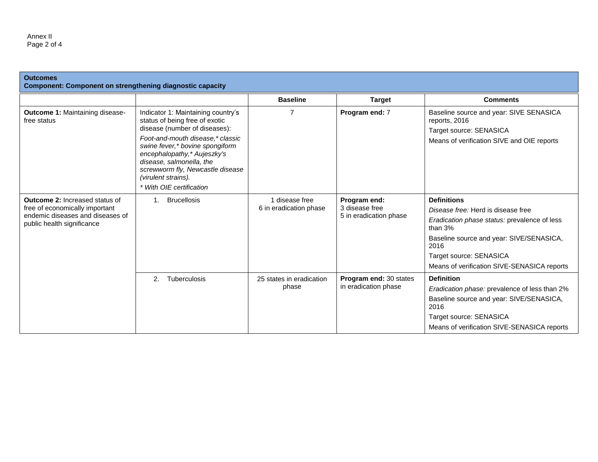| <b>Outcomes</b><br><b>Component: Component on strengthening diagnostic capacity</b>                                                |                                                                                                                                                                                                                       |                                          |                                                          |                                                                                                                                                                                                                                                     |
|------------------------------------------------------------------------------------------------------------------------------------|-----------------------------------------------------------------------------------------------------------------------------------------------------------------------------------------------------------------------|------------------------------------------|----------------------------------------------------------|-----------------------------------------------------------------------------------------------------------------------------------------------------------------------------------------------------------------------------------------------------|
|                                                                                                                                    |                                                                                                                                                                                                                       | <b>Baseline</b>                          | <b>Target</b>                                            | <b>Comments</b>                                                                                                                                                                                                                                     |
| <b>Outcome 1: Maintaining disease-</b><br>free status                                                                              | Indicator 1: Maintaining country's<br>status of being free of exotic<br>disease (number of diseases):                                                                                                                 | 7                                        | Program end: 7                                           | Baseline source and year: SIVE SENASICA<br>reports, 2016<br>Target source: SENASICA                                                                                                                                                                 |
|                                                                                                                                    | Foot-and-mouth disease,* classic<br>swine fever,* bovine spongiform<br>encephalopathy,* Aujeszky's<br>disease, salmonella, the<br>screwworm fly, Newcastle disease<br>(virulent strains).<br>* With OIE certification |                                          |                                                          | Means of verification SIVE and OIE reports                                                                                                                                                                                                          |
| Outcome 2: Increased status of<br>free of economically important<br>endemic diseases and diseases of<br>public health significance | <b>Brucellosis</b><br>$1_{\cdot}$                                                                                                                                                                                     | 1 disease free<br>6 in eradication phase | Program end:<br>3 disease free<br>5 in eradication phase | <b>Definitions</b><br>Disease free: Herd is disease free<br>Eradication phase status: prevalence of less<br>than $3%$<br>Baseline source and year: SIVE/SENASICA,<br>2016<br>Target source: SENASICA<br>Means of verification SIVE-SENASICA reports |
|                                                                                                                                    | 2.<br>Tuberculosis                                                                                                                                                                                                    | 25 states in eradication<br>phase        | Program end: 30 states<br>in eradication phase           | <b>Definition</b><br>Eradication phase: prevalence of less than 2%<br>Baseline source and year: SIVE/SENASICA,<br>2016<br>Target source: SENASICA<br>Means of verification SIVE-SENASICA reports                                                    |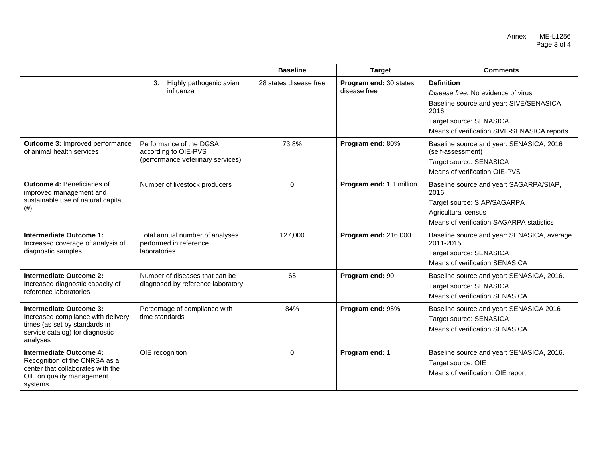|                                                                                                                                               |                                                                                      | <b>Baseline</b>        | <b>Target</b>                          | <b>Comments</b>                                                                                                                                                                      |
|-----------------------------------------------------------------------------------------------------------------------------------------------|--------------------------------------------------------------------------------------|------------------------|----------------------------------------|--------------------------------------------------------------------------------------------------------------------------------------------------------------------------------------|
|                                                                                                                                               | Highly pathogenic avian<br>3.<br>influenza                                           | 28 states disease free | Program end: 30 states<br>disease free | <b>Definition</b><br>Disease free: No evidence of virus<br>Baseline source and year: SIVE/SENASICA<br>2016<br>Target source: SENASICA<br>Means of verification SIVE-SENASICA reports |
| <b>Outcome 3: Improved performance</b><br>of animal health services                                                                           | Performance of the DGSA<br>according to OIE-PVS<br>(performance veterinary services) | 73.8%                  | Program end: 80%                       | Baseline source and year: SENASICA, 2016<br>(self-assessment)<br>Target source: SENASICA<br>Means of verification OIE-PVS                                                            |
| <b>Outcome 4: Beneficiaries of</b><br>improved management and<br>sustainable use of natural capital<br>(# )                                   | Number of livestock producers                                                        | 0                      | Program end: 1.1 million               | Baseline source and year: SAGARPA/SIAP,<br>2016.<br>Target source: SIAP/SAGARPA<br>Agricultural census<br>Means of verification SAGARPA statistics                                   |
| <b>Intermediate Outcome 1:</b><br>Increased coverage of analysis of<br>diagnostic samples                                                     | Total annual number of analyses<br>performed in reference<br>laboratories            | 127,000                | Program end: 216,000                   | Baseline source and year: SENASICA, average<br>2011-2015<br>Target source: SENASICA<br>Means of verification SENASICA                                                                |
| <b>Intermediate Outcome 2:</b><br>Increased diagnostic capacity of<br>reference laboratories                                                  | Number of diseases that can be<br>diagnosed by reference laboratory                  | 65                     | Program end: 90                        | Baseline source and year: SENASICA, 2016.<br>Target source: SENASICA<br>Means of verification SENASICA                                                                               |
| Intermediate Outcome 3:<br>Increased compliance with delivery<br>times (as set by standards in<br>service catalog) for diagnostic<br>analyses | Percentage of compliance with<br>time standards                                      | 84%                    | Program end: 95%                       | Baseline source and year: SENASICA 2016<br>Target source: SENASICA<br>Means of verification SENASICA                                                                                 |
| Intermediate Outcome 4:<br>Recognition of the CNRSA as a<br>center that collaborates with the<br>OIE on quality management<br>systems         | OIE recognition                                                                      | $\Omega$               | Program end: 1                         | Baseline source and year: SENASICA, 2016.<br>Target source: OIE<br>Means of verification: OIE report                                                                                 |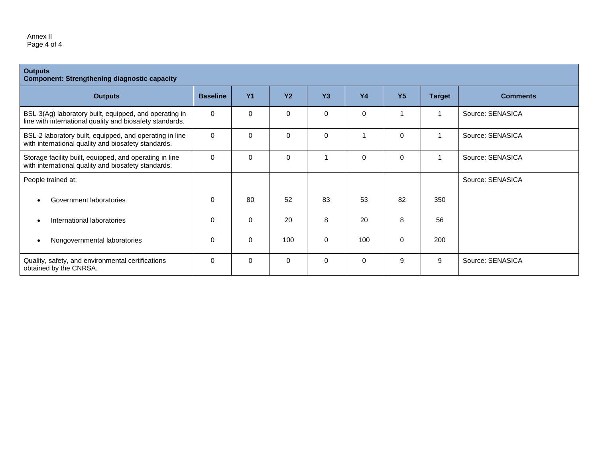#### Annex II Page 4 of 4

| <b>Outputs</b><br><b>Component: Strengthening diagnostic capacity</b>                                              |                 |                |           |           |           |                |               |                  |
|--------------------------------------------------------------------------------------------------------------------|-----------------|----------------|-----------|-----------|-----------|----------------|---------------|------------------|
| <b>Outputs</b>                                                                                                     | <b>Baseline</b> | Y <sub>1</sub> | <b>Y2</b> | <b>Y3</b> | <b>Y4</b> | Y <sub>5</sub> | <b>Target</b> | <b>Comments</b>  |
| BSL-3(Ag) laboratory built, equipped, and operating in<br>line with international quality and biosafety standards. | $\Omega$        | $\Omega$       | 0         | 0         | 0         |                |               | Source: SENASICA |
| BSL-2 laboratory built, equipped, and operating in line<br>with international quality and biosafety standards.     | $\Omega$        | $\Omega$       | 0         | $\Omega$  |           | $\Omega$       |               | Source: SENASICA |
| Storage facility built, equipped, and operating in line<br>with international quality and biosafety standards.     | $\Omega$        | $\Omega$       | 0         |           | 0         | $\Omega$       |               | Source: SENASICA |
| People trained at:                                                                                                 |                 |                |           |           |           |                |               | Source: SENASICA |
| Government laboratories<br>$\bullet$                                                                               | $\Omega$        | 80             | 52        | 83        | 53        | 82             | 350           |                  |
| International laboratories<br>$\bullet$                                                                            | 0               | $\Omega$       | 20        | 8         | 20        | 8              | 56            |                  |
| Nongovernmental laboratories<br>$\bullet$                                                                          | 0               | $\Omega$       | 100       | 0         | 100       | $\Omega$       | 200           |                  |
| Quality, safety, and environmental certifications<br>obtained by the CNRSA.                                        | $\Omega$        | $\Omega$       | $\Omega$  | $\Omega$  | 0         | 9              | 9             | Source: SENASICA |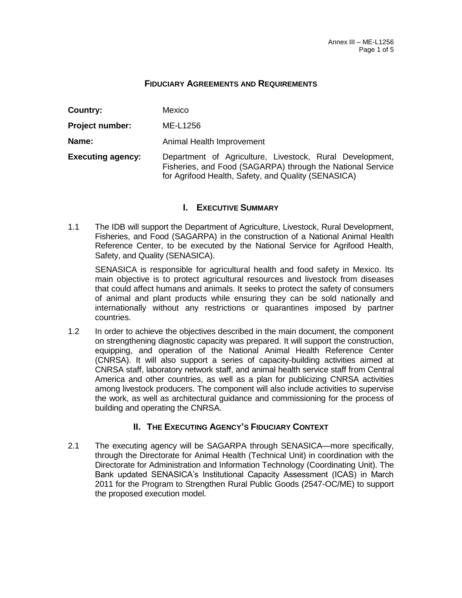### **FIDUCIARY AGREEMENTS AND REQUIREMENTS**

| Country:                 | Mexico                                                                                                                                                                        |  |  |  |  |  |
|--------------------------|-------------------------------------------------------------------------------------------------------------------------------------------------------------------------------|--|--|--|--|--|
| <b>Project number:</b>   | ME-L1256                                                                                                                                                                      |  |  |  |  |  |
| Name:                    | Animal Health Improvement                                                                                                                                                     |  |  |  |  |  |
| <b>Executing agency:</b> | Department of Agriculture, Livestock, Rural Development,<br>Fisheries, and Food (SAGARPA) through the National Service<br>for Agrifood Health, Safety, and Quality (SENASICA) |  |  |  |  |  |

# **I. EXECUTIVE SUMMARY**

1.1 The IDB will support the Department of Agriculture, Livestock, Rural Development, Fisheries, and Food (SAGARPA) in the construction of a National Animal Health Reference Center, to be executed by the National Service for Agrifood Health, Safety, and Quality (SENASICA).

SENASICA is responsible for agricultural health and food safety in Mexico. Its main objective is to protect agricultural resources and livestock from diseases that could affect humans and animals. It seeks to protect the safety of consumers of animal and plant products while ensuring they can be sold nationally and internationally without any restrictions or quarantines imposed by partner countries.

1.2 In order to achieve the objectives described in the main document, the component on strengthening diagnostic capacity was prepared. It will support the construction, equipping, and operation of the National Animal Health Reference Center (CNRSA). It will also support a series of capacity-building activities aimed at CNRSA staff, laboratory network staff, and animal health service staff from Central America and other countries, as well as a plan for publicizing CNRSA activities among livestock producers. The component will also include activities to supervise the work, as well as architectural guidance and commissioning for the process of building and operating the CNRSA.

### **II. THE EXECUTING AGENCY'S FIDUCIARY CONTEXT**

2.1 The executing agency will be SAGARPA through SENASICA—more specifically, through the Directorate for Animal Health (Technical Unit) in coordination with the Directorate for Administration and Information Technology (Coordinating Unit). The Bank updated SENASICA's Institutional Capacity Assessment (ICAS) in March 2011 for the Program to Strengthen Rural Public Goods (2547-OC/ME) to support the proposed execution model.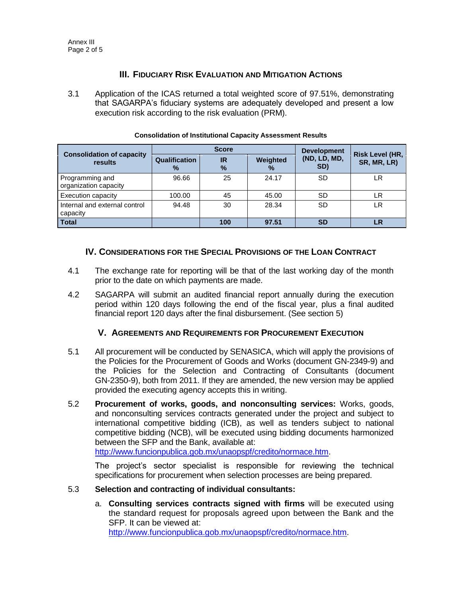# **III. FIDUCIARY RISK EVALUATION AND MITIGATION ACTIONS**

3.1 Application of the ICAS returned a total weighted score of 97.51%, demonstrating that SAGARPA's fiduciary systems are adequately developed and present a low execution risk according to the risk evaluation (PRM).

|                                             |                    | <b>Score</b>      | <b>Development</b> |                     |                                       |  |
|---------------------------------------------|--------------------|-------------------|--------------------|---------------------|---------------------------------------|--|
| <b>Consolidation of capacity</b><br>results | Qualification<br>% | <b>IR</b><br>$\%$ | Weighted<br>%      | (ND, LD, MD,<br>SD) | <b>Risk Level (HR,</b><br>SR, MR, LR) |  |
| Programming and<br>organization capacity    | 96.66              | 25                | 24.17              | SD                  | LR                                    |  |
| Execution capacity                          | 100.00             | 45                | 45.00              | SD                  | LR                                    |  |
| Internal and external control<br>capacity   | 94.48              | 30                | 28.34              | SD                  | LR                                    |  |
| <b>Total</b>                                |                    | 100               | 97.51              | <b>SD</b>           | LR                                    |  |

### **Consolidation of Institutional Capacity Assessment Results**

# **IV. CONSIDERATIONS FOR THE SPECIAL PROVISIONS OF THE LOAN CONTRACT**

- 4.1 The exchange rate for reporting will be that of the last working day of the month prior to the date on which payments are made.
- 4.2 SAGARPA will submit an audited financial report annually during the execution period within 120 days following the end of the fiscal year, plus a final audited financial report 120 days after the final disbursement. (See section 5)

### **V. AGREEMENTS AND REQUIREMENTS FOR PROCUREMENT EXECUTION**

- 5.1 All procurement will be conducted by SENASICA, which will apply the provisions of the Policies for the Procurement of Goods and Works (document GN-2349-9) and the Policies for the Selection and Contracting of Consultants (document GN-2350-9), both from 2011. If they are amended, the new version may be applied provided the executing agency accepts this in writing.
- 5.2 **Procurement of works, goods, and nonconsulting services:** Works, goods, and nonconsulting services contracts generated under the project and subject to international competitive bidding (ICB), as well as tenders subject to national competitive bidding (NCB), will be executed using bidding documents harmonized between the SFP and the Bank, available at:

[http://www.funcionpublica.gob.mx/unaopspf/credito/normace.htm.](http://www.funcionpublica.gob.mx/unaopspf/credito/normace.htm)

The project's sector specialist is responsible for reviewing the technical specifications for procurement when selection processes are being prepared.

### 5.3 **Selection and contracting of individual consultants:**

a. **Consulting services contracts signed with firms** will be executed using the standard request for proposals agreed upon between the Bank and the SFP. It can be viewed at:

[http://www.funcionpublica.gob.mx/unaopspf/credito/normace.htm.](http://www.funcionpublica.gob.mx/unaopspf/credito/normace.htm)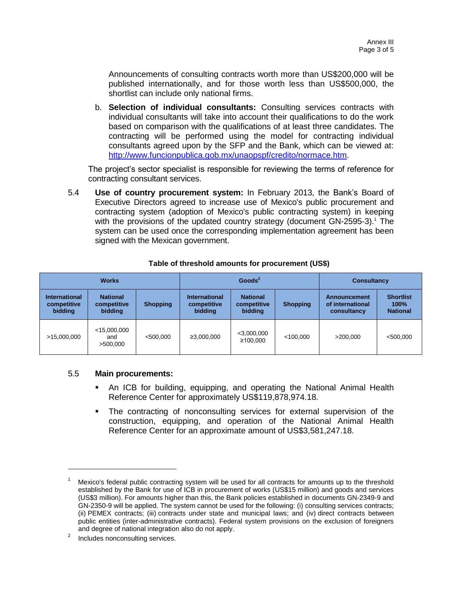Announcements of consulting contracts worth more than US\$200,000 will be published internationally, and for those worth less than US\$500,000, the shortlist can include only national firms.

b. **Selection of individual consultants:** Consulting services contracts with individual consultants will take into account their qualifications to do the work based on comparison with the qualifications of at least three candidates. The contracting will be performed using the model for contracting individual consultants agreed upon by the SFP and the Bank, which can be viewed at: [http://www.funcionpublica.gob.mx/unaopspf/credito/normace.htm.](http://www.funcionpublica.gob.mx/unaopspf/credito/normace.htm))

The project's sector specialist is responsible for reviewing the terms of reference for contracting consultant services.

5.4 **Use of country procurement system:** In February 2013, the Bank's Board of Executive Directors agreed to increase use of Mexico's public procurement and contracting system (adoption of Mexico's public contracting system) in keeping with the provisions of the updated country strategy (document  $GN-2595-3$ ).<sup>1</sup> The system can be used once the corresponding implementation agreement has been signed with the Mexican government.

| <b>Works</b>                                   |                                           |                 |                                                | Goods <sup>2</sup>                        | <b>Consultancy</b> |                                                 |                                             |
|------------------------------------------------|-------------------------------------------|-----------------|------------------------------------------------|-------------------------------------------|--------------------|-------------------------------------------------|---------------------------------------------|
| <b>International</b><br>competitive<br>bidding | <b>National</b><br>competitive<br>bidding | <b>Shopping</b> | <b>International</b><br>competitive<br>bidding | <b>National</b><br>competitive<br>bidding | <b>Shopping</b>    | Announcement<br>of international<br>consultancy | <b>Shortlist</b><br>100%<br><b>National</b> |
| >15,000,000                                    | $<$ 15,000,000<br>and<br>>500,000         | $<$ 500,000     | ≥3,000,000                                     | $<$ 3,000,000<br>≥100.000                 | $<$ 100.000        | >200.000                                        | $<$ 500.000                                 |

### **Table of threshold amounts for procurement (US\$)**

### 5.5 **Main procurements:**

- An ICB for building, equipping, and operating the National Animal Health Reference Center for approximately US\$119,878,974.18.
- The contracting of nonconsulting services for external supervision of the construction, equipping, and operation of the National Animal Health Reference Center for an approximate amount of US\$3,581,247.18.

l

Mexico's federal public contracting system will be used for all contracts for amounts up to the threshold established by the Bank for use of ICB in procurement of works (US\$15 million) and goods and services (US\$3 million). For amounts higher than this, the Bank policies established in documents GN-2349-9 and GN-2350-9 will be applied. The system cannot be used for the following: (i) consulting services contracts; (ii) PEMEX contracts; (iii) contracts under state and municipal laws; and (iv) direct contracts between public entities (inter-administrative contracts). Federal system provisions on the exclusion of foreigners and degree of national integration also do not apply.

<sup>2</sup> Includes nonconsulting services.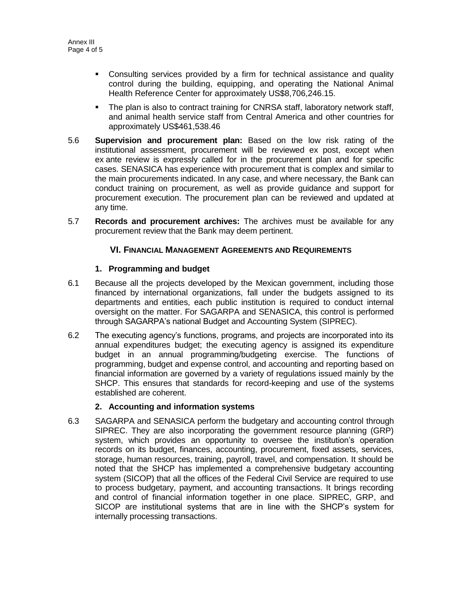- Consulting services provided by a firm for technical assistance and quality control during the building, equipping, and operating the National Animal Health Reference Center for approximately US\$8,706,246.15.
- The plan is also to contract training for CNRSA staff, laboratory network staff, and animal health service staff from Central America and other countries for approximately US\$461,538.46
- 5.6 **Supervision and procurement plan:** Based on the low risk rating of the institutional assessment, procurement will be reviewed ex post, except when ex ante review is expressly called for in the procurement plan and for specific cases. SENASICA has experience with procurement that is complex and similar to the main procurements indicated. In any case, and where necessary, the Bank can conduct training on procurement, as well as provide guidance and support for procurement execution. The procurement plan can be reviewed and updated at any time.
- 5.7 **Records and procurement archives:** The archives must be available for any procurement review that the Bank may deem pertinent.

### **VI. FINANCIAL MANAGEMENT AGREEMENTS AND REQUIREMENTS**

### **1. Programming and budget**

- 6.1 Because all the projects developed by the Mexican government, including those financed by international organizations, fall under the budgets assigned to its departments and entities, each public institution is required to conduct internal oversight on the matter. For SAGARPA and SENASICA, this control is performed through SAGARPA's national Budget and Accounting System (SIPREC).
- 6.2 The executing agency's functions, programs, and projects are incorporated into its annual expenditures budget; the executing agency is assigned its expenditure budget in an annual programming/budgeting exercise. The functions of programming, budget and expense control, and accounting and reporting based on financial information are governed by a variety of regulations issued mainly by the SHCP. This ensures that standards for record-keeping and use of the systems established are coherent.

### **2. Accounting and information systems**

6.3 SAGARPA and SENASICA perform the budgetary and accounting control through SIPREC. They are also incorporating the government resource planning (GRP) system, which provides an opportunity to oversee the institution's operation records on its budget, finances, accounting, procurement, fixed assets, services, storage, human resources, training, payroll, travel, and compensation. It should be noted that the SHCP has implemented a comprehensive budgetary accounting system (SICOP) that all the offices of the Federal Civil Service are required to use to process budgetary, payment, and accounting transactions. It brings recording and control of financial information together in one place. SIPREC, GRP, and SICOP are institutional systems that are in line with the SHCP's system for internally processing transactions.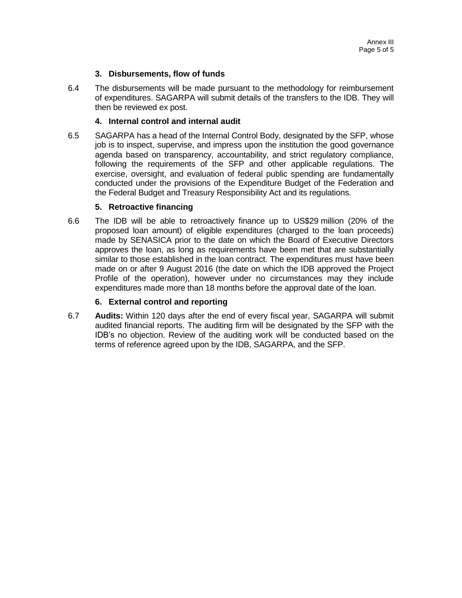### **3. Disbursements, flow of funds**

6.4 The disbursements will be made pursuant to the methodology for reimbursement of expenditures. SAGARPA will submit details of the transfers to the IDB. They will then be reviewed ex post.

### **4. Internal control and internal audit**

6.5 SAGARPA has a head of the Internal Control Body, designated by the SFP, whose job is to inspect, supervise, and impress upon the institution the good governance agenda based on transparency, accountability, and strict regulatory compliance, following the requirements of the SFP and other applicable regulations. The exercise, oversight, and evaluation of federal public spending are fundamentally conducted under the provisions of the Expenditure Budget of the Federation and the Federal Budget and Treasury Responsibility Act and its regulations.

### **5. Retroactive financing**

6.6 The IDB will be able to retroactively finance up to US\$29 million (20% of the proposed loan amount) of eligible expenditures (charged to the loan proceeds) made by SENASICA prior to the date on which the Board of Executive Directors approves the loan, as long as requirements have been met that are substantially similar to those established in the loan contract. The expenditures must have been made on or after 9 August 2016 (the date on which the IDB approved the Project Profile of the operation), however under no circumstances may they include expenditures made more than 18 months before the approval date of the loan.

### **6. External control and reporting**

6.7 **Audits:** Within 120 days after the end of every fiscal year, SAGARPA will submit audited financial reports. The auditing firm will be designated by the SFP with the IDB's no objection. Review of the auditing work will be conducted based on the terms of reference agreed upon by the IDB, SAGARPA, and the SFP.